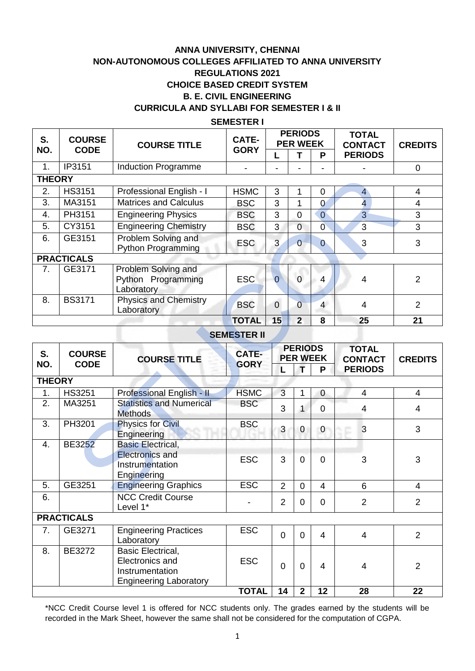# **ANNA UNIVERSITY, CHENNAI NON-AUTONOMOUS COLLEGES AFFILIATED TO ANNA UNIVERSITY REGULATIONS 2021 CHOICE BASED CREDIT SYSTEM B. E. CIVIL ENGINEERING CURRICULA AND SYLLABI FOR SEMESTER I & II**

#### **SEMESTER I**

| S.<br>NO.      | <b>COURSE</b><br><b>CODE</b> | <b>COURSE TITLE</b>                                     | <b>CATE-</b> | <b>PERIODS</b><br><b>PER WEEK</b> |                |                | <b>TOTAL</b><br><b>CONTACT</b> | <b>CREDITS</b> |  |
|----------------|------------------------------|---------------------------------------------------------|--------------|-----------------------------------|----------------|----------------|--------------------------------|----------------|--|
|                |                              |                                                         | <b>GORY</b>  |                                   |                | P              | <b>PERIODS</b>                 |                |  |
| 1.             | IP3151                       | <b>Induction Programme</b>                              |              |                                   |                |                |                                | $\mathbf 0$    |  |
|                | <b>THEORY</b>                |                                                         |              |                                   |                |                |                                |                |  |
| 2.             | <b>HS3151</b>                | Professional English - I                                | <b>HSMC</b>  | 3                                 | 1              | $\Omega$       | $\overline{4}$                 | 4              |  |
| 3.             | MA3151                       | <b>Matrices and Calculus</b>                            | <b>BSC</b>   | 3                                 | 1              | $\Omega$       | $\overline{4}$                 | 4              |  |
| 4.             | PH3151                       | <b>Engineering Physics</b>                              | <b>BSC</b>   | 3                                 | $\Omega$       | $\overline{0}$ | $\overline{3}$                 | 3              |  |
| 5.             | CY3151                       | <b>Engineering Chemistry</b>                            | <b>BSC</b>   | 3                                 | $\Omega$       | $\overline{0}$ | 3                              | 3              |  |
| 6.             | GE3151                       | Problem Solving and<br><b>Python Programming</b>        | <b>ESC</b>   | 3                                 | $\overline{0}$ | $\Omega$       | 3                              | 3              |  |
|                | <b>PRACTICALS</b>            |                                                         |              |                                   |                |                |                                |                |  |
| 7 <sub>1</sub> | GE3171                       | Problem Solving and<br>Python Programming<br>Laboratory | <b>ESC</b>   | $\overline{0}$                    | $\Omega$       | 4              | 4                              | 2              |  |
| 8.             | <b>BS3171</b>                | <b>Physics and Chemistry</b><br>Laboratory              | <b>BSC</b>   | $\mathbf 0$                       | $\Omega$       | $\overline{4}$ | 4                              | $\overline{2}$ |  |
|                |                              |                                                         | <b>TOTAL</b> | 15                                | $\overline{2}$ | 8              | 25                             | 21             |  |

### **SEMESTER II**

| <b>THEORY</b>      |                              |                                                                                                 |                             |                |                                        |                |                                                  |                |  |
|--------------------|------------------------------|-------------------------------------------------------------------------------------------------|-----------------------------|----------------|----------------------------------------|----------------|--------------------------------------------------|----------------|--|
| 2.                 | <b>HS3151</b>                | Professional English - I                                                                        | <b>HSMC</b>                 | $\mathbf{3}$   | 1                                      | $\mathbf 0$    | $\overline{\mathbf{4}}$                          | 4              |  |
| 3.                 | MA3151                       | Matrices and Calculus                                                                           | <b>BSC</b>                  | 3              | 1                                      | $\overline{0}$ | $\overline{4}$                                   | $\overline{4}$ |  |
| 4.                 | PH3151                       | <b>Engineering Physics</b>                                                                      | <b>BSC</b>                  | 3              | $\overline{0}$                         | $\overline{0}$ | $\overline{3}$                                   | 3              |  |
| 5.                 | CY3151                       | <b>Engineering Chemistry</b>                                                                    | <b>BSC</b>                  | 3              | $\overline{0}$                         | $\overline{0}$ | $\overline{3}$                                   | $\overline{3}$ |  |
| 6.                 | GE3151                       | Problem Solving and<br><b>Python Programming</b>                                                | <b>ESC</b>                  | 3              | $\overline{0}$                         | $\overline{0}$ | 3                                                | 3              |  |
|                    | <b>PRACTICALS</b>            |                                                                                                 |                             |                |                                        |                |                                                  |                |  |
| 7.                 | GE3171                       | Problem Solving and<br>Python Programming<br>Laboratory                                         | <b>ESC</b>                  | $\overline{0}$ | $\overline{0}$                         | 4              | 4                                                | $\overline{2}$ |  |
| 8.                 | <b>BS3171</b>                | <b>Physics and Chemistry</b><br>Laboratory                                                      | <b>BSC</b>                  | $\overline{0}$ | $\overline{0}$                         | $\overline{4}$ | 4                                                | $\overline{2}$ |  |
|                    |                              |                                                                                                 | <b>TOTAL</b>                | 15             | $\overline{2}$                         | 8              | 25                                               | 21             |  |
| <b>SEMESTER II</b> |                              |                                                                                                 |                             |                |                                        |                |                                                  |                |  |
| S.<br>NO.          | <b>COURSE</b><br><b>CODE</b> | <b>COURSE TITLE</b>                                                                             | <b>CATE-</b><br><b>GORY</b> | L              | <b>PERIODS</b><br><b>PER WEEK</b><br>т | P              | <b>TOTAL</b><br><b>CONTACT</b><br><b>PERIODS</b> | <b>CREDITS</b> |  |
| <b>THEORY</b>      |                              |                                                                                                 |                             |                |                                        |                |                                                  |                |  |
| 1.                 | <b>HS3251</b>                | Professional English - II                                                                       | <b>HSMC</b>                 | $\mathbf{3}$   | 1                                      | $\mathbf 0$    | 4                                                | 4              |  |
| 2.                 | MA3251                       | <b>Statistics and Numerical</b><br><b>Methods</b>                                               | <b>BSC</b>                  | 3              | $\mathbf{1}$                           | $\mathbf 0$    | 4                                                | 4              |  |
| 3.                 | PH3201                       | <b>Physics for Civil</b><br>Engineering                                                         | <b>BSC</b>                  | 3              | 0                                      | $\mathbf 0$    | 3                                                | 3              |  |
| 4.                 | <b>BE3252</b>                | <b>Basic Electrical,</b><br><b>Electronics and</b><br>Instrumentation<br>Engineering            | <b>ESC</b>                  | 3              | $\overline{0}$                         | $\overline{0}$ | 3                                                | 3              |  |
| 5.                 | GE3251                       | <b>Engineering Graphics</b>                                                                     | <b>ESC</b>                  | $\overline{2}$ | $\overline{0}$                         | $\overline{4}$ | 6                                                | 4              |  |
| 6.                 |                              | <b>NCC Credit Course</b><br>Level 1*                                                            |                             | $\overline{2}$ | 0                                      | $\overline{0}$ | $\overline{2}$                                   | $\overline{2}$ |  |
|                    | <b>PRACTICALS</b>            |                                                                                                 |                             |                |                                        |                |                                                  |                |  |
| 7.                 | GE3271                       | <b>Engineering Practices</b><br>Laboratory                                                      | <b>ESC</b>                  | $\mathbf 0$    | 0                                      | 4              | $\overline{\mathbf{4}}$                          | $\overline{2}$ |  |
| 8.                 | <b>BE3272</b>                | <b>Basic Electrical,</b><br>Electronics and<br>Instrumentation<br><b>Engineering Laboratory</b> | <b>ESC</b>                  | $\mathbf 0$    | $\mathbf 0$                            | $\overline{4}$ | 4                                                | $\overline{2}$ |  |
|                    |                              |                                                                                                 | <b>TOTAL</b>                | 14             | $\overline{2}$                         | 12             | 28                                               | 22             |  |

\*NCC Credit Course level 1 is offered for NCC students only. The grades earned by the students will be recorded in the Mark Sheet, however the same shall not be considered for the computation of CGPA.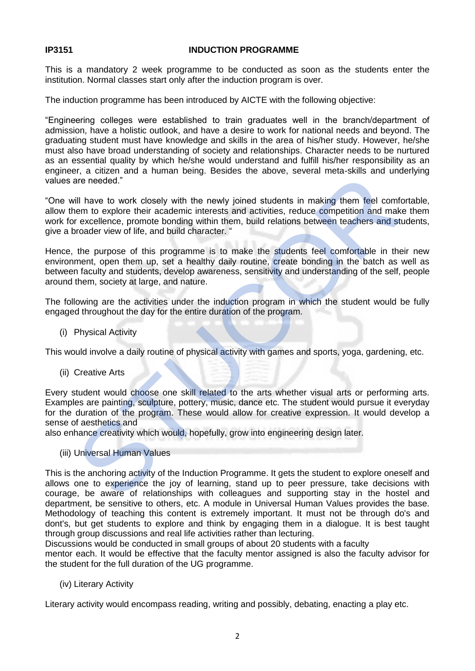### **IP3151 INDUCTION PROGRAMME**

This is a mandatory 2 week programme to be conducted as soon as the students enter the institution. Normal classes start only after the induction program is over.

The induction programme has been introduced by AICTE with the following objective:

"Engineering colleges were established to train graduates well in the branch/department of admission, have a holistic outlook, and have a desire to work for national needs and beyond. The graduating student must have knowledge and skills in the area of his/her study. However, he/she must also have broad understanding of society and relationships. Character needs to be nurtured as an essential quality by which he/she would understand and fulfill his/her responsibility as an engineer, a citizen and a human being. Besides the above, several meta-skills and underlying values are needed."

"One will have to work closely with the newly joined students in making them feel comfortable, allow them to explore their academic interests and activities, reduce competition and make them work for excellence, promote bonding within them, build relations between teachers and students, give a broader view of life, and build character. "

Hence, the purpose of this programme is to make the students feel comfortable in their new environment, open them up, set a healthy daily routine, create bonding in the batch as well as between faculty and students, develop awareness, sensitivity and understanding of the self, people around them, society at large, and nature.

The following are the activities under the induction program in which the student would be fully engaged throughout the day for the entire duration of the program.

(i) Physical Activity

This would involve a daily routine of physical activity with games and sports, yoga, gardening, etc.

(ii) Creative Arts

Every student would choose one skill related to the arts whether visual arts or performing arts. Examples are painting, sculpture, pottery, music, dance etc. The student would pursue it everyday for the duration of the program. These would allow for creative expression. It would develop a sense of aesthetics and er, a culture to work closely with the newly joined students in making them feel comformation are needed."<br>Will have to work closely with the newly joined students in making them feel comformation and making them feel comf

also enhance creativity which would, hopefully, grow into engineering design later.

(iii) Universal Human Values

This is the anchoring activity of the Induction Programme. It gets the student to explore oneself and allows one to experience the joy of learning, stand up to peer pressure, take decisions with courage, be aware of relationships with colleagues and supporting stay in the hostel and department, be sensitive to others, etc. A module in Universal Human Values provides the base. Methodology of teaching this content is extremely important. It must not be through do's and dont's, but get students to explore and think by engaging them in a dialogue. It is best taught through group discussions and real life activities rather than lecturing.

Discussions would be conducted in small groups of about 20 students with a faculty

mentor each. It would be effective that the faculty mentor assigned is also the faculty advisor for the student for the full duration of the UG programme.

(iv) Literary Activity

Literary activity would encompass reading, writing and possibly, debating, enacting a play etc.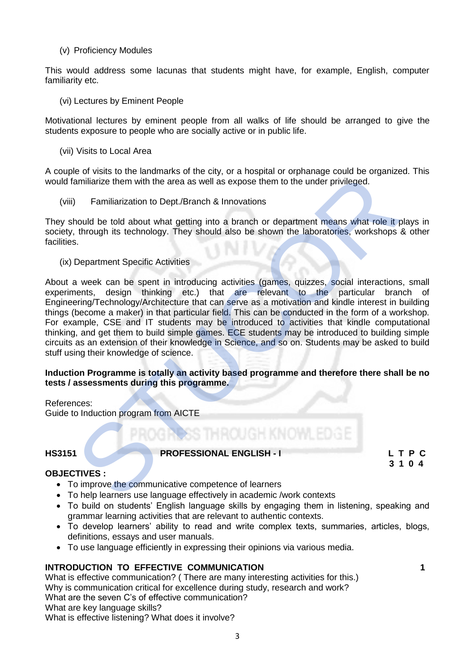### (v) Proficiency Modules

This would address some lacunas that students might have, for example, English, computer familiarity etc.

(vi) Lectures by Eminent People

Motivational lectures by eminent people from all walks of life should be arranged to give the students exposure to people who are socially active or in public life.

(vii) Visits to Local Area

A couple of visits to the landmarks of the city, or a hospital or orphanage could be organized. This would familiarize them with the area as well as expose them to the under privileged.

(viii) Familiarization to Dept./Branch & Innovations

They should be told about what getting into a branch or department means what role it plays in society, through its technology. They should also be shown the laboratories, workshops & other facilities.

(ix) Department Specific Activities

About a week can be spent in introducing activities (games, quizzes, social interactions, small experiments, design thinking etc.) that are relevant to the particular branch of Engineering/Technology/Architecture that can serve as a motivation and kindle interest in building things (become a maker) in that particular field. This can be conducted in the form of a workshop. For example, CSE and IT students may be introduced to activities that kindle computational thinking, and get them to build simple games. ECE students may be introduced to building simple circuits as an extension of their knowledge in Science, and so on. Students may be asked to build stuff using their knowledge of science. er or wisis to the landmarks of the divid serves are the dividend to the dividend to the dividend to the dividend to the model particle them with the area as well as expose them to the under privileged.<br>
) Familiarization

### **Induction Programme is totally an activity based programme and therefore there shall be no tests / assessments during this programme.**

References: Guide to Induction program from AICTE

**HS3151 PROFESSIONAL ENGLISH - I L T P C**

# **3 1 0 4**

# **OBJECTIVES :**

- To improve the communicative competence of learners
- To help learners use language effectively in academic /work contexts
- To build on students' English language skills by engaging them in listening, speaking and grammar learning activities that are relevant to authentic contexts.
- To develop learners' ability to read and write complex texts, summaries, articles, blogs, definitions, essays and user manuals.
- To use language efficiently in expressing their opinions via various media.

# **INTRODUCTION TO EFFECTIVE COMMUNICATION 1**

What is effective communication? ( There are many interesting activities for this.) Why is communication critical for excellence during study, research and work? What are the seven C's of effective communication? What are key language skills? What is effective listening? What does it involve?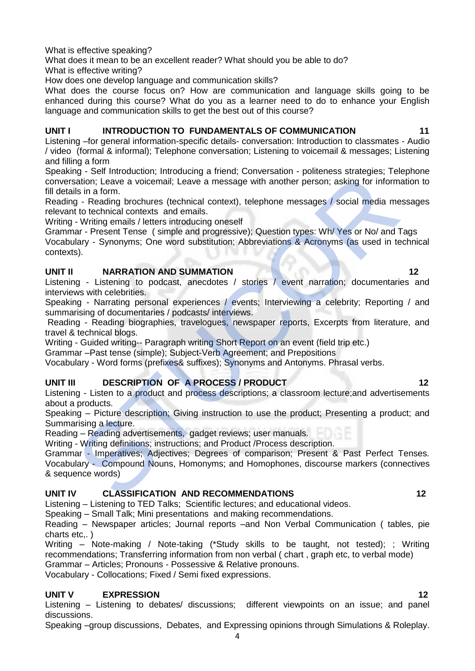What is effective speaking?

What does it mean to be an excellent reader? What should you be able to do?

What is effective writing?

How does one develop language and communication skills?

What does the course focus on? How are communication and language skills going to be enhanced during this course? What do you as a learner need to do to enhance your English language and communication skills to get the best out of this course?

# **UNIT I INTRODUCTION TO FUNDAMENTALS OF COMMUNICATION 11**

Listening –for general information-specific details- conversation: Introduction to classmates - Audio / video (formal & informal); Telephone conversation; Listening to voicemail & messages; Listening and filling a form

Speaking - Self Introduction; Introducing a friend; Conversation - politeness strategies; Telephone conversation; Leave a voicemail; Leave a message with another person; asking for information to fill details in a form.

Reading - Reading brochures (technical context), telephone messages / social media messages relevant to technical contexts and emails.

Writing - Writing emails / letters introducing oneself

Grammar - Present Tense ( simple and progressive); Question types: Wh/ Yes or No/ and Tags Vocabulary - Synonyms; One word substitution; Abbreviations & Acronyms (as used in technical contexts). ny - Sammidoucion, iniuodicing a metric, Convession, Explainable of philosophers, teaming a stading brothurs and ornin and the tothical contexts and emails.<br>
Sign in form.<br>
In a form.<br>
In the technical contexts and emails.

# **UNIT II NARRATION AND SUMMATION** 12

Listening - Listening to podcast, anecdotes / stories / event narration; documentaries and interviews with celebrities.

Speaking - Narrating personal experiences / events; Interviewing a celebrity; Reporting / and summarising of documentaries / podcasts/ interviews.

Reading - Reading biographies, travelogues, newspaper reports, Excerpts from literature, and travel & technical blogs.

Writing - Guided writing-- Paragraph writing Short Report on an event (field trip etc.)

Grammar –Past tense (simple); Subject-Verb Agreement; and Prepositions

Vocabulary - Word forms (prefixes& suffixes); Synonyms and Antonyms. Phrasal verbs.

# **UNIT III** DESCRIPTION OF A PROCESS / PRODUCT 12

Listening - Listen to a product and process descriptions; a classroom lecture;and advertisements about a products.

Speaking – Picture description; Giving instruction to use the product; Presenting a product; and Summarising a lecture.

Reading – Reading advertisements, gadget reviews; user manuals.

Writing - Writing definitions; instructions; and Product /Process description.

Grammar - Imperatives; Adjectives; Degrees of comparison; Present & Past Perfect Tenses. Vocabulary - Compound Nouns, Homonyms; and Homophones, discourse markers (connectives & sequence words)

# **UNIT IV CLASSIFICATION AND RECOMMENDATIONS 12**

Listening – Listening to TED Talks; Scientific lectures; and educational videos.

Speaking – Small Talk; Mini presentations and making recommendations.

Reading – Newspaper articles; Journal reports –and Non Verbal Communication ( tables, pie charts etc,. )

Writing – Note-making / Note-taking (\*Study skills to be taught, not tested); ; Writing recommendations; Transferring information from non verbal ( chart , graph etc, to verbal mode)

Grammar – Articles; Pronouns - Possessive & Relative pronouns.

Vocabulary - Collocations; Fixed / Semi fixed expressions.

# **UNIT V EXPRESSION 12**

Listening – Listening to debates/ discussions; different viewpoints on an issue; and panel discussions.

Speaking –group discussions, Debates, and Expressing opinions through Simulations & Roleplay.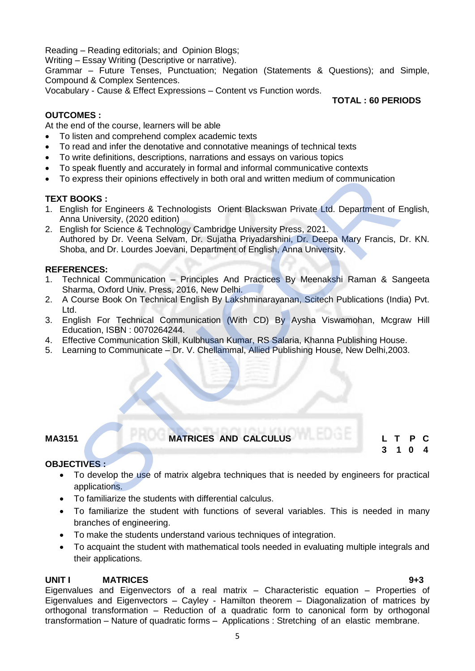Reading – Reading editorials; and Opinion Blogs;

Writing – Essay Writing (Descriptive or narrative).

Grammar – Future Tenses, Punctuation; Negation (Statements & Questions); and Simple, Compound & Complex Sentences.

Vocabulary - Cause & Effect Expressions – Content vs Function words.

# **TOTAL : 60 PERIODS**

# **OUTCOMES :**

At the end of the course, learners will be able

- To listen and comprehend complex academic texts
- To read and infer the denotative and connotative meanings of technical texts
- To write definitions, descriptions, narrations and essays on various topics
- To speak fluently and accurately in formal and informal communicative contexts
- To express their opinions effectively in both oral and written medium of communication

# **TEXT BOOKS :**

- 1. English for Engineers & Technologists Orient Blackswan Private Ltd. Department of English, Anna University, (2020 edition)
- 2. English for Science & Technology Cambridge University Press, 2021. Authored by Dr. Veena Selvam, Dr. Sujatha Priyadarshini, Dr. Deepa Mary Francis, Dr. KN. Shoba, and Dr. Lourdes Joevani, Department of English, Anna University. express their opinions effectively in both oral and written medium of communication<br>
STOOKS :<br>
STU[CO](https://www.amazon.in/s/ref=dp_byline_sr_book_1?ie=UTF8&field-author=Aysha+Viswamohan&search-alias=stripbooks)RS :<br>
STUCORS :<br>
Illah for Science & Technologists Orient Blackswan Private Ltd. Department of Equilibrition<br>
2000 and Div

### **REFERENCES:**

- 1. Technical Communication Principles And Practices By Meenakshi Raman & Sangeeta Sharma, Oxford Univ. Press, 2016, New Delhi.
- 2. A Course Book On Technical English By Lakshminarayanan, Scitech Publications (India) Pvt. Ltd.
- 3. English For Technical Communication (With CD) By Aysha Viswamohan, Mcgraw Hill Education, ISBN : 0070264244.
- 4. Effective Communication Skill, Kulbhusan Kumar, RS Salaria, Khanna Publishing House.
- 5. Learning to Communicate Dr. V. Chellammal, Allied Publishing House, New Delhi,2003.

**MA3151 MATRICES AND CALCULUS L T P C**

 **3 1 0 4**

# **OBJECTIVES :**

- To develop the use of matrix algebra techniques that is needed by engineers for practical applications.
- To familiarize the students with differential calculus.
- To familiarize the student with functions of several variables. This is needed in many branches of engineering.
- To make the students understand various techniques of integration.
- To acquaint the student with mathematical tools needed in evaluating multiple integrals and their applications.

# **UNIT I MATRICES 9+3**

Eigenvalues and Eigenvectors of a real matrix – Characteristic equation – Properties of Eigenvalues and Eigenvectors – Cayley - Hamilton theorem – Diagonalization of matrices by orthogonal transformation – Reduction of a quadratic form to canonical form by orthogonal transformation – Nature of quadratic forms – Applications : Stretching of an elastic membrane.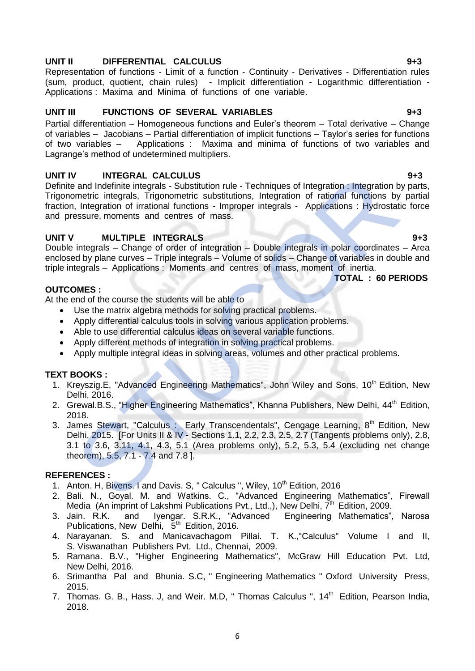# **UNIT II DIFFERENTIAL CALCULUS 9+3**

Representation of functions - Limit of a function - Continuity - Derivatives - Differentiation rules (sum, product, quotient, chain rules) - Implicit differentiation - Logarithmic differentiation - Applications : Maxima and Minima of functions of one variable.

# **UNIT III FUNCTIONS OF SEVERAL VARIABLES 9+3**

Partial differentiation – Homogeneous functions and Euler's theorem – Total derivative – Change of variables – Jacobians – Partial differentiation of implicit functions – Taylor's series for functions of two variables – Applications : Maxima and minima of functions of two variables and Lagrange's method of undetermined multipliers.

### **UNIT IV INTEGRAL CALCULUS 9+3**

Definite and Indefinite integrals - Substitution rule - Techniques of Integration : Integration by parts, Trigonometric integrals, Trigonometric substitutions, Integration of rational functions by partial fraction, Integration of irrational functions - Improper integrals - Applications : Hydrostatic force and pressure, moments and centres of mass. V<br>and Indefinite integral. CALCULUS<br>
INTEGRAL CALCULUS<br>
INTEGRAL CALCULUS (INTEGRALS<br>
Integration of rational functions by<br>
Integration of irrelational functions - Impoper<br>
Integration of irrelations - Impoper<br>
Integration

### **UNIT V MULTIPLE INTEGRALS 9+3**

Double integrals – Change of order of integration – Double integrals in polar coordinates – Area enclosed by plane curves – Triple integrals – Volume of solids – Change of variables in double and triple integrals – Applications : Moments and centres of mass, moment of inertia.  **TOTAL : 60 PERIODS** 

### **OUTCOMES :**

At the end of the course the students will be able to

- Use the matrix algebra methods for solving practical problems.
- Apply differential calculus tools in solving various application problems.
- Able to use differential calculus ideas on several variable functions.
- Apply different methods of integration in solving practical problems.
- Apply multiple integral ideas in solving areas, volumes and other practical problems.

# **TEXT BOOKS :**

- 1. Kreyszig.E, "Advanced Engineering Mathematics", John Wiley and Sons, 10<sup>th</sup> Edition. New Delhi, 2016.
- 2. Grewal.B.S., "Higher Engineering Mathematics", Khanna Publishers, New Delhi, 44<sup>th</sup> Edition. 2018.
- 3. James Stewart, "Calculus : Early Transcendentals", Cengage Learning, 8<sup>th</sup> Edition, New Delhi, 2015. [For Units II & IV - Sections 1.1, 2.2, 2.3, 2.5, 2.7 (Tangents problems only), 2.8, 3.1 to 3.6, 3.11, 4.1, 4.3, 5.1 (Area problems only), 5.2, 5.3, 5.4 (excluding net change theorem), 5.5, 7.1 - 7.4 and 7.8 ].

#### **REFERENCES :**

- 1. Anton. H, Bivens. I and Davis. S, " Calculus ", Wiley, 10<sup>th</sup> Edition, 2016
- 2. Bali. N., Goyal. M. and Watkins. C., "Advanced Engineering Mathematics", Firewall Media (An imprint of Lakshmi Publications Pvt., Ltd.,), New Delhi, 7th Edition, 2009.
- 3. Jain. R.K. and Iyengar. S.R.K., "Advanced Engineering Mathematics", Narosa Publications, New Delhi, 5<sup>th</sup> Edition, 2016.
- 4. Narayanan. S. and Manicavachagom Pillai. T. K.,"Calculus" Volume I and II, S. Viswanathan Publishers Pvt. Ltd., Chennai, 2009.
- 5. Ramana. B.V., "Higher Engineering Mathematics"*,* McGraw Hill Education Pvt. Ltd, New Delhi, 2016.
- 6. Srimantha Pal and Bhunia. S.C, " Engineering Mathematics " Oxford University Press, 2015.
- 7. Thomas. G. B., Hass. J, and Weir. M.D, " Thomas Calculus ", 14<sup>th</sup> Edition, Pearson India. 2018.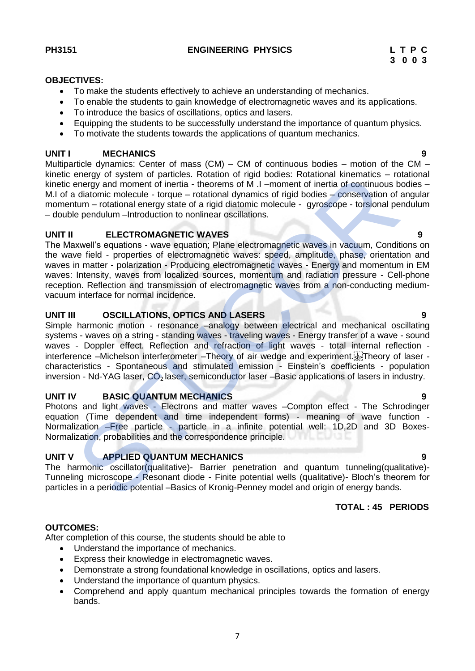#### **OBJECTIVES:**

- To make the students effectively to achieve an understanding of mechanics.
- To enable the students to gain knowledge of electromagnetic waves and its applications.
- To introduce the basics of oscillations, optics and lasers.
- Equipping the students to be successfully understand the importance of quantum physics.
- To motivate the students towards the applications of quantum mechanics.

### **UNIT I MECHANICS 9**

Multiparticle dynamics: Center of mass (CM) – CM of continuous bodies – motion of the CM – kinetic energy of system of particles. Rotation of rigid bodies: Rotational kinematics – rotational kinetic energy and moment of inertia - theorems of M .I –moment of inertia of continuous bodies – M.I of a diatomic molecule - torque – rotational dynamics of rigid bodies – conservation of angular momentum – rotational energy state of a rigid diatomic molecule - gyroscope - torsional pendulum – double pendulum –Introduction to nonlinear oscillations.

# **UNIT II ELECTROMAGNETIC WAVES 9**

The Maxwell's equations - wave equation; Plane electromagnetic waves in vacuum, Conditions on the wave field - properties of electromagnetic waves: speed, amplitude, phase, orientation and waves in matter - polarization - Producing electromagnetic waves - Energy and momentum in EM waves: Intensity, waves from localized sources, momentum and radiation pressure - Cell-phone reception. Reflection and transmission of electromagnetic waves from a non-conducting mediumvacuum interface for normal incidence. energy of system of particles. Rotation of rigid bodies. Rotational kinematics – rong of energy and moment of inertia - theorems of M.I – moment of inertial continuous b<br>a diatomic molecule - torque – rotational dynamics o

# **UNIT III OSCILLATIONS, OPTICS AND LASERS 9**

Simple harmonic motion - resonance –analogy between electrical and mechanical oscillating systems - waves on a string - standing waves - traveling waves - Energy transfer of a wave - sound waves - Doppler effect. Reflection and refraction of light waves - total internal reflection interference –Michelson interferometer –Theory of air wedge and experiment. Theory of laser characteristics - Spontaneous and stimulated emission - Einstein's coefficients - population inversion - Nd-YAG laser, CO<sub>2</sub> laser, semiconductor laser –Basic applications of lasers in industry.

# **UNIT IV BASIC QUANTUM MECHANICS 9**

Photons and light waves - Electrons and matter waves –Compton effect - The Schrodinger equation (Time dependent and time independent forms) - meaning of wave function - Normalization –Free particle - particle in a infinite potential well: 1D,2D and 3D Boxes-Normalization, probabilities and the correspondence principle.

# **UNIT V APPLIED QUANTUM MECHANICS 9**

The harmonic oscillator(qualitative)- Barrier penetration and quantum tunneling(qualitative)- Tunneling microscope - Resonant diode - Finite potential wells (qualitative)- Bloch's theorem for particles in a periodic potential –Basics of Kronig-Penney model and origin of energy bands.

 **TOTAL : 45 PERIODS**

# **OUTCOMES:**

After completion of this course, the students should be able to

- Understand the importance of mechanics.
- Express their knowledge in electromagnetic waves.
- Demonstrate a strong foundational knowledge in oscillations, optics and lasers.
- Understand the importance of quantum physics.
- Comprehend and apply quantum mechanical principles towards the formation of energy bands.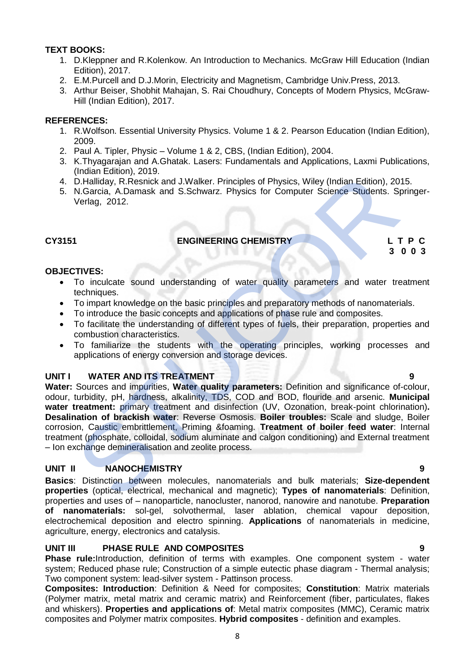# **TEXT BOOKS:**

- 1. D.Kleppner and R.Kolenkow. An Introduction to Mechanics. McGraw Hill Education (Indian Edition), 2017.
- 2. E.M.Purcell and D.J.Morin, Electricity and Magnetism, Cambridge Univ.Press, 2013.
- 3. [Arthur Beiser,](https://www.amazon.in/s/ref=dp_byline_sr_book_1?ie=UTF8&field-author=Arthur+Beiser&search-alias=stripbooks) [Shobhit Mahajan,](https://www.amazon.in/s/ref=dp_byline_sr_book_2?ie=UTF8&field-author=Shobhit+Mahajan&search-alias=stripbooks) [S. Rai Choudhury,](https://www.amazon.in/s/ref=dp_byline_sr_book_3?ie=UTF8&field-author=S.+Rai+Choudhury&search-alias=stripbooks) Concepts of Modern Physics, McGraw-Hill (Indian Edition), 2017.

# **REFERENCES:**

- 1. R.Wolfson. Essential University Physics. Volume 1 & 2. Pearson Education (Indian Edition), 2009.
- 2. Paul A. Tipler, Physic Volume 1 & 2, CBS, (Indian Edition), 2004.
- 3. K.Thyagarajan and A.Ghatak. Lasers: Fundamentals and Applications, Laxmi Publications, (Indian Edition), 2019.
- 4. D.Halliday, R.Resnick and J.Walker. Principles of Physics, Wiley (Indian Edition), 2015.
- 5. N.Garcia, A.Damask and S.Schwarz. Physics for Computer Science Students. Springer-Verlag, 2012.

# **CY3151 ENGINEERING CHEMISTRY L T P C**

 **3 0 0 3**

# **OBJECTIVES:**

- To inculcate sound understanding of water quality parameters and water treatment techniques.
- To impart knowledge on the basic principles and preparatory methods of nanomaterials.
- To introduce the basic concepts and applications of phase rule and composites.
- To facilitate the understanding of different types of fuels, their preparation, properties and combustion characteristics.
- To familiarize the students with the operating principles, working processes and applications of energy conversion and storage devices.

# **UNIT I WATER AND ITS TREATMENT**

Water: Sources and impurities, Water quality parameters: Definition and significance of-colour. odour, turbidity, pH, hardness, alkalinity, TDS, COD and BOD, flouride and arsenic. **Municipal water treatment:** primary treatment and disinfection (UV, Ozonation, break-point chlorination)**. Desalination of brackish water**: Reverse Osmosis. **Boiler troubles:** Scale and sludge, Boiler corrosion, Caustic embrittlement, Priming &foaming. **Treatment of boiler feed water**: Internal treatment (phosphate, colloidal, sodium aluminate and calgon conditioning) and External treatment – Ion exchange demineralisation and zeolite process. (indian enautor), 2019.<br>
The D.Halliday, R.Resnick and J.Walker. Principles of Physics, Wiley (Indian Edition), 20<br>
N.Garcia, A.Damask and S.Schwarz. Physics for Computer Science Students. Sp<br>
Verlag, 2012.<br>
TIVES:<br>
To inc

# **UNIT II NANOCHEMISTRY 9**

**Basics**: Distinction between molecules, nanomaterials and bulk materials; **Size-dependent properties** (optical, electrical, mechanical and magnetic); **Types of nanomaterials**: Definition, properties and uses of – nanoparticle, nanocluster, nanorod, nanowire and nanotube. **Preparation of nanomaterials:** sol-gel, solvothermal, laser ablation, chemical vapour deposition, electrochemical deposition and electro spinning. **Applications** of nanomaterials in medicine, agriculture, energy, electronics and catalysis.

# **UNIT III PHASE RULE AND COMPOSITES 9**

**Phase rule:**Introduction, definition of terms with examples. One component system - water system; Reduced phase rule; Construction of a simple eutectic phase diagram - Thermal analysis; Two component system: lead-silver system - Pattinson process.

**Composites: Introduction**: Definition & Need for composites; **Constitution**: Matrix materials (Polymer matrix, metal matrix and ceramic matrix) and Reinforcement (fiber, particulates, flakes and whiskers). **Properties and applications of**: Metal matrix composites (MMC), Ceramic matrix composites and Polymer matrix composites. **Hybrid composites** - definition and examples.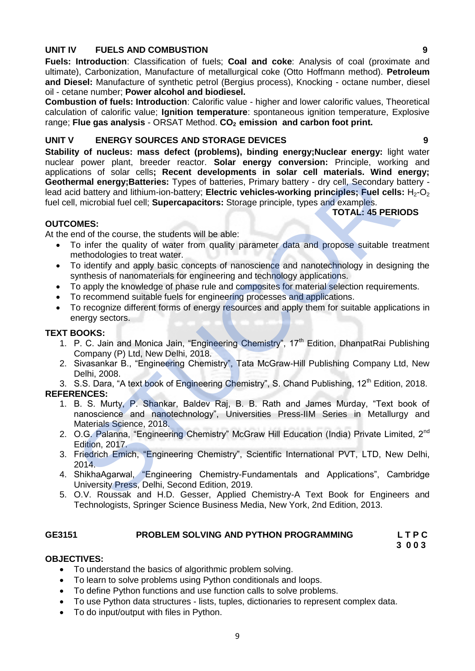# **UNIT IV FUELS AND COMBUSTION 9**

**Fuels: Introduction**: Classification of fuels; **Coal and coke**: Analysis of coal (proximate and ultimate), Carbonization, Manufacture of metallurgical coke (Otto Hoffmann method). **Petroleum and Diesel:** Manufacture of synthetic petrol (Bergius process), Knocking - octane number, diesel oil - cetane number; **Power alcohol and biodiesel.**

**Combustion of fuels: Introduction**: Calorific value - higher and lower calorific values, Theoretical calculation of calorific value; **Ignition temperature**: spontaneous ignition temperature, Explosive range; **Flue gas analysis** - ORSAT Method. **CO2 emission and carbon foot print.**

# **UNIT V ENERGY SOURCES AND STORAGE DEVICES 9**

**Stability of nucleus: mass defect (problems), binding energy; Nuclear energy: light water** nuclear power plant, breeder reactor. **Solar energy conversion:** Principle, working and applications of solar cells**; Recent developments in solar cell materials. Wind energy; Geothermal energy;Batteries:** Types of batteries, Primary battery - dry cell, Secondary battery lead acid battery and lithium-ion-battery; **Electric vehicles-working principles; Fuel cells:** H<sub>2</sub>-O<sub>2</sub> fuel cell, microbial fuel cell; **Supercapacitors:** Storage principle, types and examples. atom server tens tensor tensor and remains in solar cent aner materials. Wind exerged the cent and the celt it Supercapacitors: Storage principle, types and central statery and lithium-ion-battery; Electric vehicles-workin

# **TOTAL: 45 PERIODS**

# **OUTCOMES:**

At the end of the course, the students will be able:

- To infer the quality of water from quality parameter data and propose suitable treatment methodologies to treat water.
- To identify and apply basic concepts of nanoscience and nanotechnology in designing the synthesis of nanomaterials for engineering and technology applications.
- To apply the knowledge of phase rule and composites for material selection requirements.
- To recommend suitable fuels for engineering processes and applications.
- To recognize different forms of energy resources and apply them for suitable applications in energy sectors.

# **TEXT BOOKS:**

- 1. P. C. Jain and Monica Jain, "Engineering Chemistry", 17<sup>th</sup> Edition, DhanpatRai Publishing Company (P) Ltd, New Delhi, 2018.
- 2. Sivasankar B., "Engineering Chemistry", Tata McGraw-Hill Publishing Company Ltd, New Delhi, 2008.
- 3. S.S. Dara, "A text book of Engineering Chemistry", S. Chand Publishing, 12<sup>th</sup> Edition, 2018. **REFERENCES:**
	- 1. B. S. Murty, P. Shankar, Baldev Raj, B. B. Rath and James Murday, "Text book of nanoscience and nanotechnology", Universities Press-IIM Series in Metallurgy and Materials Science, 2018.
	- 2. O.G. Palanna, "Engineering Chemistry" McGraw Hill Education (India) Private Limited, 2<sup>nd</sup> Edition, 2017.
	- 3. Friedrich Emich, "Engineering Chemistry", Scientific International PVT, LTD, New Delhi, 2014.
	- 4. ShikhaAgarwal, "Engineering Chemistry-Fundamentals and Applications", Cambridge University Press, Delhi, Second Edition, 2019.
	- 5. O.V. Roussak and H.D. Gesser, Applied Chemistry-A Text Book for Engineers and Technologists, Springer Science Business Media, New York, 2nd Edition, 2013.

# GE3151 **PROBLEM SOLVING AND PYTHON PROGRAMMING** L T P C<br>3 0 0 3

# **3 0 0 3**

# **OBJECTIVES:**

- To understand the basics of algorithmic problem solving.
- To learn to solve problems using Python conditionals and loops.
- To define Python functions and use function calls to solve problems.
- To use Python data structures lists, tuples, dictionaries to represent complex data.
- To do input/output with files in Python.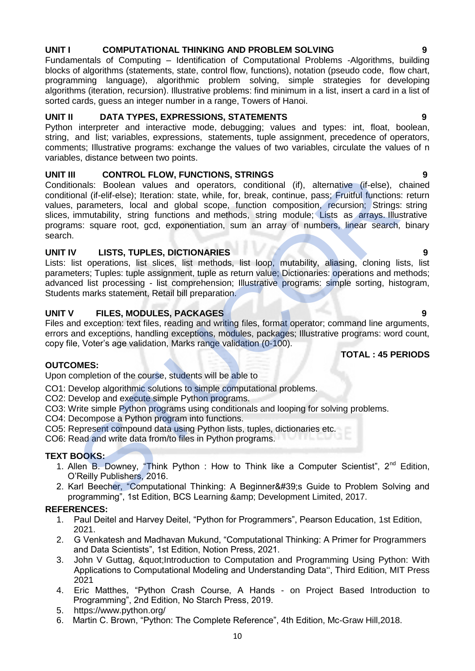# UNIT I COMPUTATIONAL THINKING AND PROBLEM SOLVING

Fundamentals of Computing – Identification of Computational Problems -Algorithms, building blocks of algorithms (statements, state, control flow, functions), notation (pseudo code, flow chart, programming language), algorithmic problem solving, simple strategies for developing algorithms (iteration, recursion). Illustrative problems: find minimum in a list, insert a card in a list of sorted cards, guess an integer number in a range, Towers of Hanoi.

# **UNIT II DATA TYPES, EXPRESSIONS, STATEMENTS 9**

Python interpreter and interactive mode, debugging; values and types: int, float, boolean, string, and list; variables, expressions, statements, tuple assignment, precedence of operators, comments; Illustrative programs: exchange the values of two variables, circulate the values of n variables, distance between two points.

# **UNIT III CONTROL FLOW, FUNCTIONS, STRINGS 9**

Conditionals: Boolean values and operators, conditional (if), alternative (if-else), chained conditional (if-elif-else); Iteration: state, while, for, break, continue, pass; Fruitful functions: return values, parameters, local and global scope, function composition, recursion; Strings: string slices, immutability, string functions and methods, string module; Lists as arrays. Illustrative programs: square root, gcd, exponentiation, sum an array of numbers, linear search, binary search. I CONTROL FLOW, FUNCTIONS, STRINGS<br>
in CONTROL FLOW, FUNCTIONS, STRINGS<br>
onals: Boolean values and operators, conditional (if), alternative (if-else), onal (if-elif-else); Iteration: state, while, for, break, continue, pas

# **UNIT IV LISTS, TUPLES, DICTIONARIES 9**

Lists: list operations, list slices, list methods, list loop, mutability, aliasing, cloning lists, list parameters; Tuples: tuple assignment, tuple as return value; Dictionaries: operations and methods; advanced list processing - list comprehension; Illustrative programs: simple sorting, histogram, Students marks statement, Retail bill preparation.

# **UNIT V FILES, MODULES, PACKAGES 9**

Files and exception: text files, reading and writing files, format operator; command line arguments, errors and exceptions, handling exceptions, modules, packages; Illustrative programs: word count, copy file, Voter's age validation, Marks range validation (0-100).

# **TOTAL : 45 PERIODS**

# **OUTCOMES:**

Upon completion of the course, students will be able to

CO1: Develop algorithmic solutions to simple computational problems.

- CO2: Develop and execute simple Python programs.
- CO3: Write simple Python programs using conditionals and looping for solving problems.
- CO4: Decompose a Python program into functions.
- CO5: Represent compound data using Python lists, tuples, dictionaries etc.

CO6: Read and write data from/to files in Python programs.

# **TEXT BOOKS:**

- 1. Allen B. Downey, "Think Python : How to Think like a Computer Scientist", 2<sup>nd</sup> Edition, O'Reilly Publishers, 2016.
- 2. Karl Beecher, "Computational Thinking: A Beginner&#39:s Guide to Problem Solving and programming", 1st Edition, BCS Learning & amp: Development Limited, 2017.

# **REFERENCES:**

- 1. Paul Deitel and Harvey Deitel, "Python for Programmers", Pearson Education, 1st Edition, 2021.
- 2. G Venkatesh and Madhavan Mukund, "Computational Thinking: A Primer for Programmers and Data Scientists", 1st Edition, Notion Press, 2021.
- 3. John V Guttag, & quot; Introduction to Computation and Programming Using Python: With Applications to Computational Modeling and Understanding Data'', Third Edition, MIT Press 2021
- 4. Eric Matthes, "Python Crash Course, A Hands on Project Based Introduction to Programming", 2nd Edition, No Starch Press, 2019.
- 5. https://www.python.org/
- 6. Martin C. Brown, "Python: The Complete Reference", 4th Edition, Mc-Graw Hill,2018.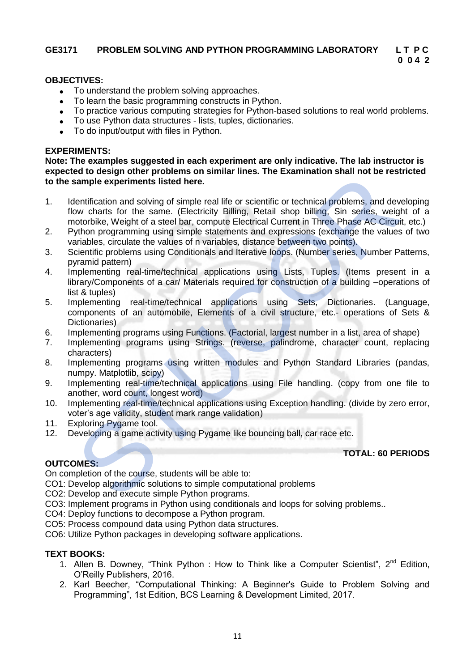# **0 0 4 2**

**TOTAL: 60 PERIODS**

### **OBJECTIVES:**

- To understand the problem solving approaches.
- To learn the basic programming constructs in Python.
- To practice various computing strategies for Python-based solutions to real world problems.
- To use Python data structures lists, tuples, dictionaries.
- To do input/output with files in Python.

### **EXPERIMENTS:**

**Note: The examples suggested in each experiment are only indicative. The lab instructor is expected to design other problems on similar lines. The Examination shall not be restricted to the sample experiments listed here.**

- 1. Identification and solving of simple real life or scientific or technical problems, and developing flow charts for the same. (Electricity Billing, Retail shop billing, Sin series, weight of a motorbike, Weight of a steel bar, compute Electrical Current in Three Phase AC Circuit, etc.)
- 2. Python programming using simple statements and expressions (exchange the values of two variables, circulate the values of n variables, distance between two points).
- 3. Scientific problems using Conditionals and Iterative loops. (Number series, Number Patterns, pyramid pattern)
- 4. Implementing real-time/technical applications using Lists, Tuples. (Items present in a library/Components of a car/ Materials required for construction of a building –operations of list & tuples) et or design other productions on similar mess. The Examination sham to be rest<br>sample experiments listed here.<br>Bentification and solving of simple real life or scientific or technical problems, and dev<br>ow charts for the s
- 5. Implementing real-time/technical applications using Sets, Dictionaries. (Language, components of an automobile, Elements of a civil structure, etc.- operations of Sets & Dictionaries)
- 6. Implementing programs using Functions. (Factorial, largest number in a list, area of shape)
- 7. Implementing programs using Strings. (reverse, palindrome, character count, replacing characters)
- 8. Implementing programs using written modules and Python Standard Libraries (pandas. numpy. Matplotlib, scipy)
- 9. Implementing real-time/technical applications using File handling. (copy from one file to another, word count, longest word)
- 10. Implementing real-time/technical applications using Exception handling. (divide by zero error, voter's age validity, student mark range validation)
- 11. Exploring Pygame tool.<br>12. Developing a game acti
- Developing a game activity using Pygame like bouncing ball, car race etc.

# **OUTCOMES:**

On completion of the course, students will be able to:

CO1: Develop algorithmic solutions to simple computational problems

- CO2: Develop and execute simple Python programs.
- CO3: Implement programs in Python using conditionals and loops for solving problems..
- CO4: Deploy functions to decompose a Python program.
- CO5: Process compound data using Python data structures.
- CO6: Utilize Python packages in developing software applications.

# **TEXT BOOKS:**

- 1. Allen B. Downey, "Think Python : How to Think like a Computer Scientist", 2<sup>nd</sup> Edition, O'Reilly Publishers, 2016.
- 2. Karl Beecher, "Computational Thinking: A Beginner's Guide to Problem Solving and Programming", 1st Edition, BCS Learning & Development Limited, 2017.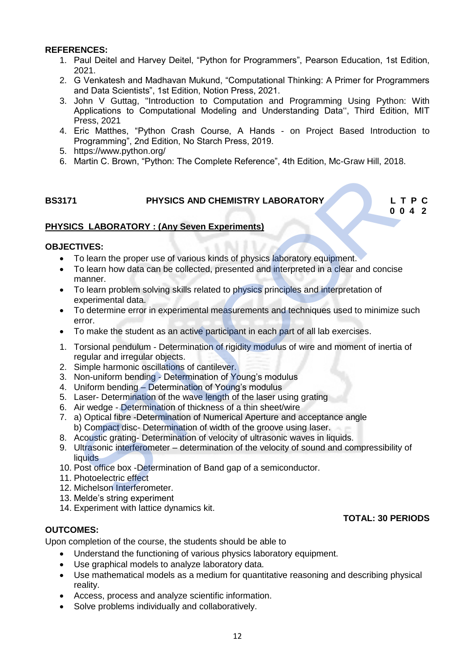### **REFERENCES:**

- 1. Paul Deitel and Harvey Deitel, "Python for Programmers", Pearson Education, 1st Edition, 2021.
- 2. G Venkatesh and Madhavan Mukund, "Computational Thinking: A Primer for Programmers and Data Scientists", 1st Edition, Notion Press, 2021.
- 3. John V Guttag, "Introduction to Computation and Programming Using Python: With Applications to Computational Modeling and Understanding Data'', Third Edition, MIT Press, 2021
- 4. Eric Matthes, "Python Crash Course, A Hands on Project Based Introduction to Programming", 2nd Edition, No Starch Press, 2019.
- 5. https://www.python.org/
- 6. Martin C. Brown, "Python: The Complete Reference", 4th Edition, Mc-Graw Hill, 2018.

# **BS3171 PHYSICS AND CHEMISTRY LABORATORY L T P C**

**0 0 4 2**

**TOTAL: 30 PERIODS**

# **PHYSICS LABORATORY : (Any Seven Experiments)**

### **OBJECTIVES:**

- To learn the proper use of various kinds of physics laboratory equipment.
- To learn how data can be collected, presented and interpreted in a clear and concise manner. **Example 18 To the STATE STATE (STATE STATE)**<br>
STIVES:<br>
STIVES:<br>
TO learn the proper use of various kinds of physics laboratory equipment.<br>
To learn the proper use of various kinds of physics laboratory equipment.<br>
To lear
- To learn problem solving skills related to physics principles and interpretation of experimental data.
- To determine error in experimental measurements and techniques used to minimize such error.
- To make the student as an active participant in each part of all lab exercises.
- 1. Torsional pendulum Determination of rigidity modulus of wire and moment of inertia of regular and irregular objects.
- 2. Simple harmonic oscillations of cantilever.
- 3. Non-uniform bending Determination of Young's modulus
- 4. Uniform bending Determination of Young's modulus
- 5. Laser- Determination of the wave length of the laser using grating
- 6. Air wedge Determination of thickness of a thin sheet/wire
- 7. a) Optical fibre -Determination of Numerical Aperture and acceptance angle b) Compact disc- Determination of width of the groove using laser.
- 8. Acoustic grating- Determination of velocity of ultrasonic waves in liquids.
- 9. Ultrasonic interferometer determination of the velocity of sound and compressibility of liquids
- 10. Post office box -Determination of Band gap of a semiconductor.
- 11. Photoelectric effect
- 12. Michelson Interferometer.
- 13. Melde's string experiment
- 14. Experiment with lattice dynamics kit.

# **OUTCOMES:**

Upon completion of the course, the students should be able to

- Understand the functioning of various physics laboratory equipment.
- Use graphical models to analyze laboratory data.
- Use mathematical models as a medium for quantitative reasoning and describing physical reality.
- Access, process and analyze scientific information.
- Solve problems individually and collaboratively.

#### 12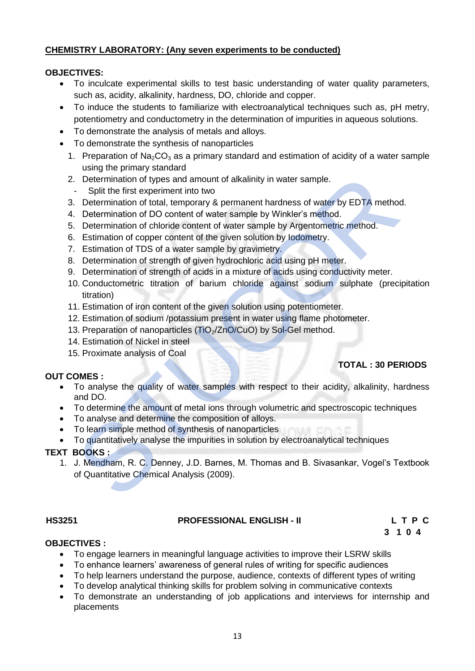# **CHEMISTRY LABORATORY: (Any seven experiments to be conducted)**

# **OBJECTIVES:**

- To inculcate experimental skills to test basic understanding of water quality parameters, such as, acidity, alkalinity, hardness, DO, chloride and copper.
- To induce the students to familiarize with electroanalytical techniques such as, pH metry, potentiometry and conductometry in the determination of impurities in aqueous solutions.
- To demonstrate the analysis of metals and alloys.
- To demonstrate the synthesis of nanoparticles
	- 1. Preparation of Na<sub>2</sub>CO<sub>3</sub> as a primary standard and estimation of acidity of a water sample using the primary standard
	- 2. Determination of types and amount of alkalinity in water sample.
	- Split the first experiment into two
	- 3. Determination of total, temporary & permanent hardness of water by EDTA method.
	- 4. Determination of DO content of water sample by Winkler's method.
	- 5. Determination of chloride content of water sample by Argentometric method.
	- 6. Estimation of copper content of the given solution by Iodometry.
	- 7. Estimation of TDS of a water sample by gravimetry.
	- 8. Determination of strength of given hydrochloric acid using pH meter.
	- 9. Determination of strength of acids in a mixture of acids using conductivity meter.
	- 10. Conductometric titration of barium chloride against sodium sulphate (precipitation titration) Contention of types and amount of alkalinity in water sample.<br>
	Split the first experiment into two<br>
	Split the first experiment into two models. Determination of DQ content of water sample by Winkler's method.<br>
	Determinatio
	- 11. Estimation of iron content of the given solution using potentiometer.
	- 12. Estimation of sodium /potassium present in water using flame photometer.
	- 13. Preparation of nanoparticles (TiO<sub>2</sub>/ZnO/CuO) by Sol-Gel method.
	- 14. Estimation of Nickel in steel
	- 15. Proximate analysis of Coal

# **OUT COMES :**

- To analyse the quality of water samples with respect to their acidity, alkalinity, hardness and DO.
- To determine the amount of metal ions through volumetric and spectroscopic techniques
- To analyse and determine the composition of alloys.
- To learn simple method of synthesis of nanoparticles
- To quantitatively analyse the impurities in solution by electroanalytical techniques

# **TEXT BOOKS :**

1. J. Mendham, R. C. Denney, J.D. Barnes, M. Thomas and B. Sivasankar, Vogel's Textbook of Quantitative Chemical Analysis (2009).

# **HS3251 PROFESSIONAL ENGLISH - II L T P C**

 **3 1 0 4**

 **TOTAL : 30 PERIODS**

# **OBJECTIVES :**

- To engage learners in meaningful language activities to improve their LSRW skills
- To enhance learners' awareness of general rules of writing for specific audiences
- To help learners understand the purpose, audience, contexts of different types of writing
- To develop analytical thinking skills for problem solving in communicative contexts
- To demonstrate an understanding of job applications and interviews for internship and placements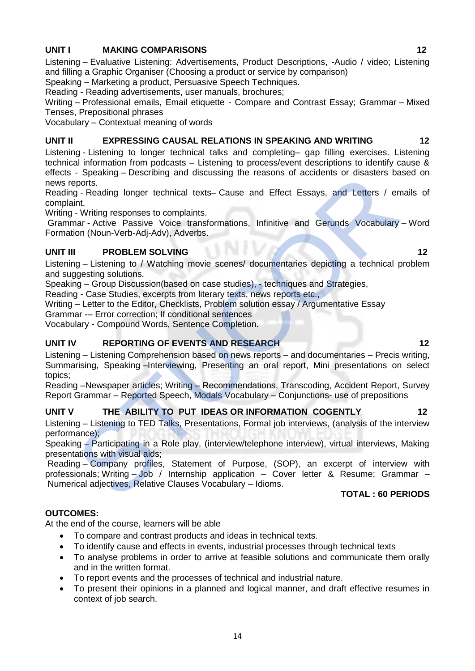# **UNIT I MAKING COMPARISONS 12**

Listening – Evaluative Listening: Advertisements, Product Descriptions, -Audio / video; Listening and filling a Graphic Organiser (Choosing a product or service by comparison)

Speaking – Marketing a product, Persuasive Speech Techniques.

Reading - Reading advertisements, user manuals, brochures;

Writing – Professional emails, Email etiquette - Compare and Contrast Essay; Grammar – Mixed Tenses, Prepositional phrases

Vocabulary – Contextual meaning of words

# **UNIT II EXPRESSING CAUSAL RELATIONS IN SPEAKING AND WRITING 12**

Listening - Listening to longer technical talks and completing– gap filling exercises. Listening technical information from podcasts – Listening to process/event descriptions to identify cause & effects - Speaking – Describing and discussing the reasons of accidents or disasters based on news reports.

Reading - Reading longer technical texts– Cause and Effect Essays, and Letters / emails of complaint,

Writing - Writing responses to complaints.

Grammar - Active Passive Voice transformations, Infinitive and Gerunds Vocabulary – Word Formation (Noun-Verb-Adj-Adv), Adverbs.

# **UNIT III PROBLEM SOLVING 12**

Listening – Listening to / Watching movie scenes/ documentaries depicting a technical problem and suggesting solutions.

Speaking – Group Discussion(based on case studies), - techniques and Strategies,

Reading - Case Studies, excerpts from literary texts, news reports etc.,

Writing – Letter to the Editor, Checklists, Problem solution essay / Argumentative Essay

Grammar -– Error correction; If conditional sentences

Vocabulary - Compound Words, Sentence Completion.

# **UNIT IV REPORTING OF EVENTS AND RESEARCH 12 2** 12

Listening – Listening Comprehension based on news reports – and documentaries – Precis writing, Summarising, Speaking –Interviewing, Presenting an oral report, Mini presentations on select topics; - Spearing – Describing and discussing the reasons of accidents or disasters ba<br>
eports.<br>
Specifical longer technical texts– Cause and Effect Essays, and Letters / en<br>
- Writing responses to complaints.<br>
IT - Writing respo

Reading –Newspaper articles; Writing – Recommendations, Transcoding, Accident Report, Survey Report Grammar – Reported Speech, Modals Vocabulary – Conjunctions- use of prepositions

# **UNIT V THE ABILITY TO PUT IDEAS OR INFORMATION COGENTLY 12**

Listening – Listening to TED Talks, Presentations, Formal job interviews, (analysis of the interview performance);

Speaking – Participating in a Role play, (interview/telephone interview), virtual interviews, Making presentations with visual aids;

Reading – Company profiles, Statement of Purpose, (SOP), an excerpt of interview with professionals; Writing – Job / Internship application – Cover letter & Resume; Grammar – Numerical adjectives, Relative Clauses Vocabulary – Idioms.

# **TOTAL : 60 PERIODS**

# **OUTCOMES:**

At the end of the course, learners will be able

- To compare and contrast products and ideas in technical texts.
- To identify cause and effects in events, industrial processes through technical texts
- To analyse problems in order to arrive at feasible solutions and communicate them orally and in the written format.
- To report events and the processes of technical and industrial nature.
- To present their opinions in a planned and logical manner, and draft effective resumes in context of job search.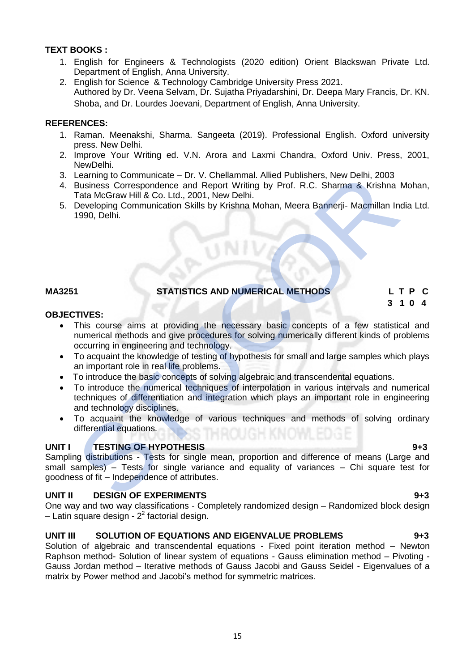# **TEXT BOOKS :**

- 1. English for Engineers & Technologists (2020 edition) Orient Blackswan Private Ltd. Department of English, Anna University.
- 2. English for Science & Technology Cambridge University Press 2021. Authored by Dr. Veena Selvam, Dr. Sujatha Priyadarshini, Dr. Deepa Mary Francis, Dr. KN. Shoba, and Dr. Lourdes Joevani, Department of English, Anna University.

# **REFERENCES:**

- 1. Raman. Meenakshi, Sharma. Sangeeta (2019). Professional English. Oxford university press. New Delhi.
- 2. Improve Your Writing ed. V.N. Arora and Laxmi Chandra, Oxford Univ. Press, 2001, NewDelhi.
- 3. Learning to Communicate Dr. V. Chellammal. Allied Publishers, New Delhi, 2003
- 4. Business Correspondence and Report Writing by Prof. R.C. Sharma & Krishna Mohan, Tata McGraw Hill & Co. Ltd., 2001, New Delhi.
- 5. Developing Communication Skills by Krishna Mohan, Meera Bannerji- Macmillan India Ltd. 1990, Delhi.

# **MA3251 STATISTICS AND NUMERICAL METHODS L T P C**

# **3 1 0 4**

# **OBJECTIVES:**

- This course aims at providing the necessary basic concepts of a few statistical and numerical methods and give procedures for solving numerically different kinds of problems occurring in engineering and technology. Learning to Communicate – Dr. V. Chellammal. Allied Publishers, New Delhi, 2003<br>Business Correspondence and Report Writing by Prof. R.C. Sharma & Krishna<br>Tata McGraw Hill & Co. Ltd., 2001, New Delhi.<br>Developing Communicati
- To acquaint the knowledge of testing of hypothesis for small and large samples which plays an important role in real life problems.
- To introduce the basic concepts of solving algebraic and transcendental equations.
- To introduce the numerical techniques of interpolation in various intervals and numerical techniques of differentiation and integration which plays an important role in engineering and technology disciplines.
- To acquaint the knowledge of various techniques and methods of solving ordinary differential equations.

# **UNIT I** TESTING OF HYPOTHESIS 9+3

Sampling distributions - Tests for single mean, proportion and difference of means (Large and small samples) – Tests for single variance and equality of variances – Chi square test for goodness of fit – Independence of attributes.

# **UNIT II** DESIGN OF EXPERIMENTS **1943**

One way and two way classifications - Completely randomized design – Randomized block design  $-$  Latin square design -  $2<sup>2</sup>$  factorial design.

# **UNIT III SOLUTION OF EQUATIONS AND EIGENVALUE PROBLEMS 9+3**

Solution of algebraic and transcendental equations - Fixed point iteration method – Newton Raphson method- Solution of linear system of equations - Gauss elimination method – Pivoting - Gauss Jordan method – Iterative methods of Gauss Jacobi and Gauss Seidel - Eigenvalues of a matrix by Power method and Jacobi's method for symmetric matrices.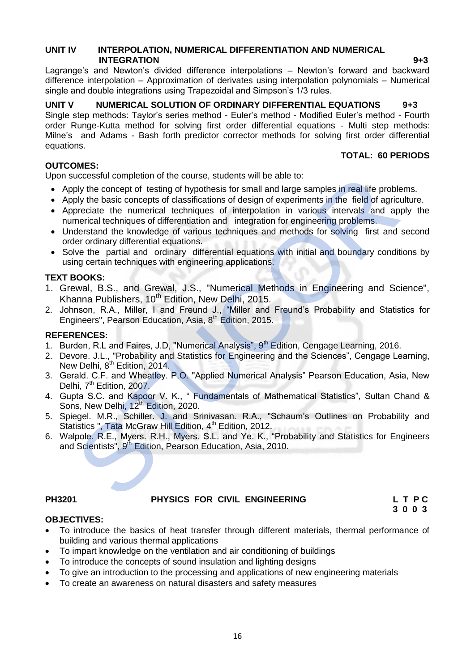# **UNIT IV INTERPOLATION, NUMERICAL DIFFERENTIATION AND NUMERICAL INTEGRATION** 9+3

Lagrange's and Newton's divided difference interpolations – Newton's forward and backward difference interpolation – Approximation of derivates using interpolation polynomials – Numerical single and double integrations using Trapezoidal and Simpson's 1/3 rules.

# **UNIT V NUMERICAL SOLUTION OF ORDINARY DIFFERENTIAL EQUATIONS 9+3**

Single step methods: Taylor's series method - Euler's method - Modified Euler's method - Fourth order Runge-Kutta method for solving first order differential equations - Multi step methods: Milne's and Adams - Bash forth predictor corrector methods for solving first order differential equations.

# **OUTCOMES:**

**TOTAL: 60 PERIODS** 

Upon successful completion of the course, students will be able to:

- Apply the concept of testing of hypothesis for small and large samples in real life problems.
- Apply the basic concepts of classifications of design of experiments in the field of agriculture.
- Appreciate the numerical techniques of interpolation in various intervals and apply the numerical techniques of differentiation and integration for engineering problems.
- Understand the knowledge of various techniques and methods for solving first and second order ordinary differential equations.
- Solve the partial and ordinary differential equations with initial and boundary conditions by using certain techniques with engineering applications.

# **TEXT BOOKS:**

- 1. Grewal, B.S., and Grewal, J.S., "Numerical Methods in Engineering and Science", Khanna Publishers,  $10^{th}$  Edition, New Delhi, 2015. uccessful completion of the course, students will be able to:<br>
ply the exorept of testing of hypothesis for small and large samples in real life proble<br>
ply the basic concepts of classifications of design of experiments in
- 2. Johnson, R.A., Miller, I and Freund J., "Miller and Freund's Probability and Statistics for Engineers", Pearson Education, Asia, 8<sup>th</sup> Edition, 2015.

# **REFERENCES:**

- 1. Burden, R.L and Faires, J.D, "Numerical Analysis", 9<sup>th</sup> Edition, Cengage Learning, 2016.
- 2. Devore. J.L., "Probability and Statistics for Engineering and the Sciences", Cengage Learning, New Delhi, 8<sup>th</sup> Edition, 2014.
- 3. Gerald. C.F. and Wheatley. P.O. "Applied Numerical Analysis" Pearson Education, Asia, New Delhi, 7<sup>th</sup> Edition, 2007.
- 4. Gupta S.C. and Kapoor V. K., " Fundamentals of Mathematical Statistics", Sultan Chand & Sons, New Delhi, 12<sup>th</sup> Edition, 2020.
- 5. Spiegel. M.R., Schiller. J. and Srinivasan. R.A., "Schaum's Outlines on Probability and Statistics ", Tata McGraw Hill Edition, 4<sup>th</sup> Edition, 2012.
- 6. Walpole. R.E., Myers. R.H., Myers. S.L. and Ye. K., "Probability and Statistics for Engineers and Scientists", 9<sup>th</sup> Edition, Pearson Education, Asia, 2010.

# **PH3201 PHYSICS FOR CIVIL ENGINEERING L T P C**

**3 0 0 3**

# **OBJECTIVES:**

- To introduce the basics of heat transfer through different materials, thermal performance of building and various thermal applications
- To impart knowledge on the ventilation and air conditioning of buildings
- To introduce the concepts of sound insulation and lighting designs
- To give an introduction to the processing and applications of new engineering materials
- To create an awareness on natural disasters and safety measures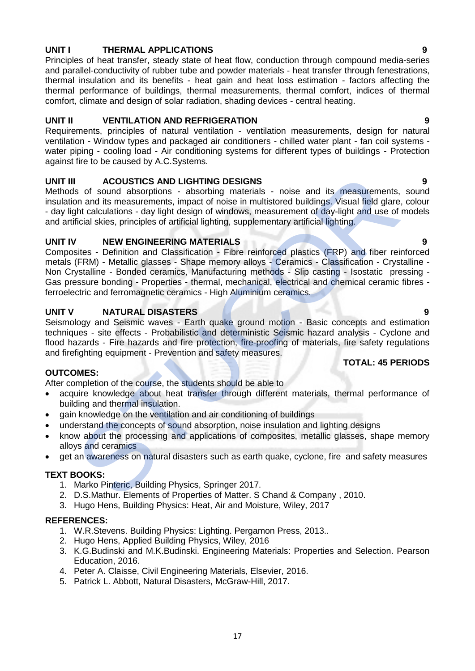# **UNIT I THERMAL APPLICATIONS 9**

Principles of heat transfer, steady state of heat flow, conduction through compound media-series and parallel-conductivity of rubber tube and powder materials - heat transfer through fenestrations, thermal insulation and its benefits - heat gain and heat loss estimation - factors affecting the thermal performance of buildings, thermal measurements, thermal comfort, indices of thermal comfort, climate and design of solar radiation, shading devices - central heating.

# **UNIT II VENTILATION AND REFRIGERATION 9**

Requirements, principles of natural ventilation - ventilation measurements, design for natural ventilation - Window types and packaged air conditioners - chilled water plant - fan coil systems water piping - cooling load - Air conditioning systems for different types of buildings - Protection against fire to be caused by A.C.Systems.

# **UNIT III ACOUSTICS AND LIGHTING DESIGNS 9**

Methods of sound absorptions - absorbing materials - noise and its measurements, sound insulation and its measurements, impact of noise in multistored buildings. Visual field glare, colour - day light calculations - day light design of windows, measurement of day-light and use of models and artificial skies, principles of artificial lighting, supplementary artificial lighting.

# **UNIT IV NEW ENGINEERING MATERIALS 9**

Composites - Definition and Classification - Fibre reinforced plastics (FRP) and fiber reinforced metals (FRM) - Metallic glasses - Shape memory alloys - Ceramics - Classification - Crystalline - Non Crystalline - Bonded ceramics, Manufacturing methods - Slip casting - Isostatic pressing - Gas pressure bonding - Properties - thermal, mechanical, electrical and chemical ceramic fibres ferroelectric and ferromagnetic ceramics - High Aluminium ceramics. I<br>
ACOUSTICS AND LIGHTING DESIGNS<br>
Is of sound absorptions - absorbing materials - noise and its measurements,<br>
ion and its measurements, impact of noise in multistored buildings. Visual field glare<br>
ght calculations - day

# **UNIT V NATURAL DISASTERS 9**

Seismology and Seismic waves - Earth quake ground motion - Basic concepts and estimation techniques - site effects - Probabilistic and deterministic Seismic hazard analysis - Cyclone and flood hazards - Fire hazards and fire protection, fire-proofing of materials, fire safety regulations and firefighting equipment - Prevention and safety measures.

# **OUTCOMES:**

After completion of the course, the students should be able to

- acquire knowledge about heat transfer through different materials, thermal performance of building and thermal insulation.
- gain knowledge on the ventilation and air conditioning of buildings
- understand the concepts of sound absorption, noise insulation and lighting designs
- know about the processing and applications of composites, metallic glasses, shape memory alloys and ceramics
- get an awareness on natural disasters such as earth quake, cyclone, fire and safety measures

# **TEXT BOOKS:**

- 1. Marko Pinteric, Building Physics, Springer 2017.
- 2. D.S.Mathur. Elements of Properties of Matter. S Chand & Company , 2010.
- 3. Hugo Hens, Building Physics: Heat, Air and Moisture, Wiley, 2017

# **REFERENCES:**

- 1. W.R.Stevens. Building Physics: Lighting. Pergamon Press, 2013..
- 2. Hugo Hens, Applied Building Physics, Wiley, 2016
- 3. K.G.Budinski and M.K.Budinski. Engineering Materials: Properties and Selection. Pearson Education, 2016.
- 4. Peter A. Claisse, Civil Engineering Materials, Elsevier, 2016.
- 5. Patrick L. Abbott, Natural Disasters, McGraw-Hill, 2017.

# **TOTAL: 45 PERIODS**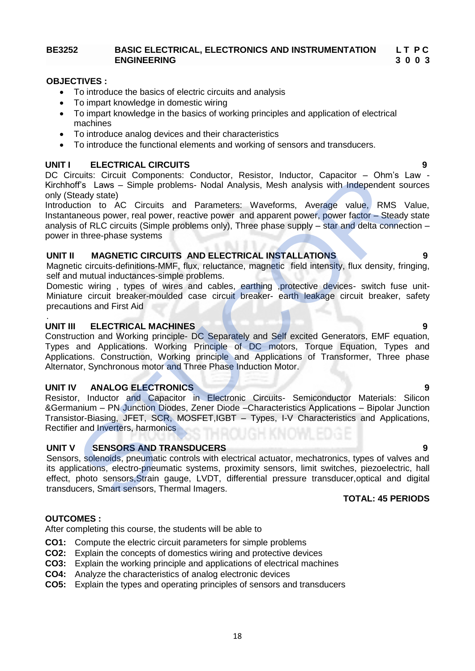# **BE3252 BASIC ELECTRICAL, ELECTRONICS AND INSTRUMENTATION L T P C ENGINEERING 3 0 0 3**

#### **OBJECTIVES :**

- To introduce the basics of electric circuits and analysis
- To impart knowledge in domestic wiring
- To impart knowledge in the basics of working principles and application of electrical machines
- To introduce analog devices and their characteristics
- To introduce the functional elements and working of sensors and transducers.

### **UNIT I ELECTRICAL CIRCUITS**

DC Circuits: Circuit Components: Conductor, Resistor, Inductor, Capacitor – Ohm's Law - Kirchhoff's Laws – Simple problems- Nodal Analysis, Mesh analysis with Independent sources only (Steady state)

Introduction to AC Circuits and Parameters: Waveforms, Average value, RMS Value, Instantaneous power, real power, reactive power and apparent power, power factor – Steady state analysis of RLC circuits (Simple problems only), Three phase supply – star and delta connection – power in three-phase systems

### **UNIT II MAGNETIC CIRCUITS AND ELECTRICAL INSTALLATIONS 9**

Magnetic circuits-definitions-MMF, flux, reluctance, magnetic field intensity, flux density, fringing, self and mutual inductances-simple problems.

Domestic wiring , types of wires and cables, earthing ,protective devices- switch fuse unit-Miniature circuit breaker-moulded case circuit breaker- earth leakage circuit breaker, safety precautions and First Aid

### **UNIT III ELECTRICAL MACHINES 9**

Construction and Working principle- DC Separately and Self excited Generators, EMF equation, Types and Applications. Working Principle of DC motors, Torque Equation, Types and Applications. Construction, Working principle and Applications of Transformer, Three phase Alternator, Synchronous motor and Three Phase Induction Motor. rcuits: Circuit Components: Conductor, Resistor, Inductor, Capacitor – Ohm's<br>
tendy state)<br>
STRS Laws – Simple problems- Nodal Analysis, Mesh analysis with Independent<br>
telody state)<br>
Citoruits can Parameters: Waveforms, A

### **UNIT IV ANALOG ELECTRONICS 9**

Resistor, Inductor and Capacitor in Electronic Circuits- Semiconductor Materials: Silicon &Germanium – PN Junction Diodes, Zener Diode –Characteristics Applications – Bipolar Junction Transistor-Biasing, JFET, SCR, MOSFET,IGBT – Types, I-V Characteristics and Applications, Rectifier and Inverters, harmonics

#### **UNIT V SENSORS AND TRANSDUCERS 9**

Sensors, solenoids, pneumatic controls with electrical actuator, mechatronics, types of valves and its applications, electro-pneumatic systems, proximity sensors, limit switches, piezoelectric, hall effect, photo sensors,Strain gauge, LVDT, differential pressure transducer,optical and digital transducers, Smart sensors, Thermal Imagers.

#### **TOTAL: 45 PERIODS**

#### **OUTCOMES :**

.

After completing this course, the students will be able to

- **CO1:** Compute the electric circuit parameters for simple problems
- **CO2:** Explain the concepts of domestics wiring and protective devices
- **CO3:** Explain the working principle and applications of electrical machines
- **CO4:** Analyze the characteristics of analog electronic devices
- **CO5:** Explain the types and operating principles of sensors and transducers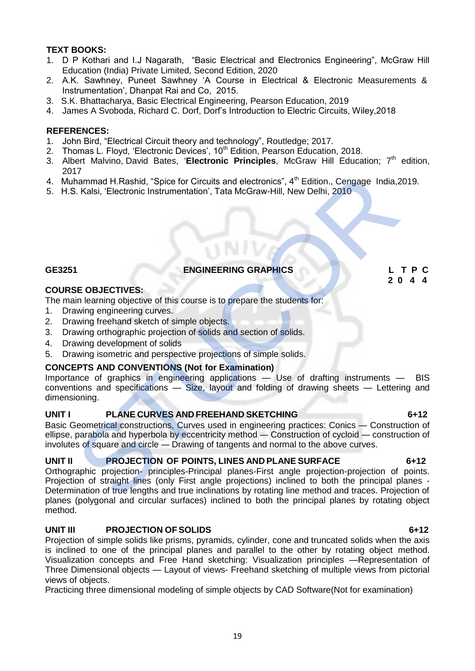# **TEXT BOOKS:**

- 1. D P Kothari and I.J Nagarath, "Basic Electrical and Electronics Engineering", McGraw Hill Education (India) Private Limited, Second Edition, 2020
- 2. A.K. Sawhney, Puneet Sawhney 'A Course in Electrical & Electronic Measurements & Instrumentation', Dhanpat Rai and Co, 2015.
- 3. S.K. Bhattacharya, Basic Electrical Engineering, Pearson Education, 2019
- 4. James A Svoboda, Richard C. Dorf, Dorf's Introduction to Electric Circuits, Wiley,2018

# **REFERENCES:**

- 1. John Bird, "Electrical Circuit theory and technology", Routledge; 2017.
- 2. Thomas L. Floyd, 'Electronic Devices', 10<sup>th</sup> Edition, Pearson Education, 2018.
- 3. [Albert Malvino,](https://www.amazon.in/s/ref=dp_byline_sr_book_1?ie=UTF8&field-author=Albert+Malvino&search-alias=stripbooks) [David Bates](https://www.amazon.in/s/ref=dp_byline_sr_book_2?ie=UTF8&field-author=David+Bates&search-alias=stripbooks), 'Electronic Principles, McGraw Hill Education; 7<sup>th</sup> edition, 2017
- 4. Muhammad H.Rashid, "Spice for Circuits and electronics", 4<sup>th</sup> Edition., Cengage India, 2019.
- 5. H.S. Kalsi, 'Electronic Instrumentation', Tata McGraw-Hill, New Delhi, 2010

# **GE3251 ENGINEERING GRAPHICS L T P C**

### **COURSE OBJECTIVES:**

The main learning objective of this course is to prepare the students for:

- 1. Drawing engineering curves.
- 2. Drawing freehand sketch of simple objects.
- 3. Drawing orthographic projection of solids and section of solids.
- 4. Drawing development of solids
- 5. Drawing isometric and perspective projections of simple solids.

# **CONCEPTS AND CONVENTIONS (Not for Examination)**

Importance of graphics in engineering applications — Use of drafting instruments — BIS conventions and specifications — Size, layout and folding of drawing sheets — Lettering and dimensioning.

# **UNIT I PLANE CURVES AND FREEHAND SKETCHING 6+12**

Basic Geometrical constructions, Curves used in engineering practices: Conics — Construction of ellipse, parabola and hyperbola by eccentricity method — Construction of cycloid — construction of involutes of square and circle — Drawing of tangents and normal to the above curves.

# **UNIT II PROJECTION OF POINTS, LINES AND PLANE SURFACE 6+12**

Orthographic projection- principles-Principal planes-First angle projection-projection of points. Projection of straight lines (only First angle projections) inclined to both the principal planes - Determination of true lengths and true inclinations by rotating line method and traces. Projection of planes (polygonal and circular surfaces) inclined to both the principal planes by rotating object method. Themmad H.Rashid, "Spice for Circuits and electronics", 4<sup>th</sup> Edition., Cengage India, 2,<br>
S. Kalsi, 'Electronic Instrumentation', Tata McGraw-Hill, New Delhi, 2010<br>
S. Kalsi, 'Electronic Instrumentation', Tata McGraw-Hill

# **UNIT III PROJECTION OF SOLIDS 6+12**

Projection of simple solids like prisms, pyramids, cylinder, cone and truncated solids when the axis is inclined to one of the principal planes and parallel to the other by rotating object method. Visualization concepts and Free Hand sketching: Visualization principles —Representation of Three Dimensional objects — Layout of views- Freehand sketching of multiple views from pictorial views of objects.

Practicing three dimensional modeling of simple objects by CAD Software(Not for examination)

 **2 0 4 4**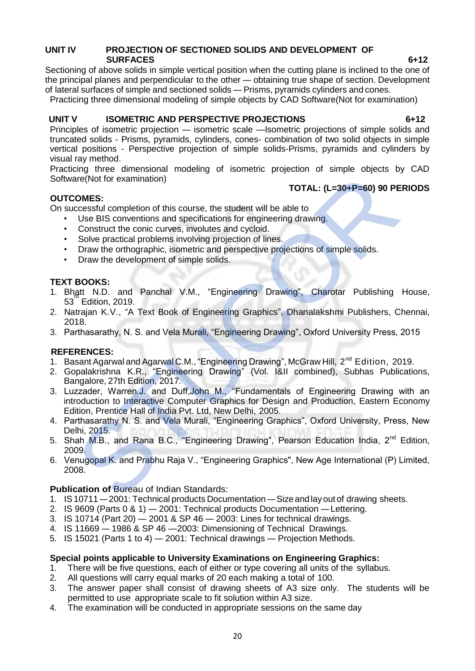# **UNIT IV PROJECTION OF SECTIONED SOLIDS AND DEVELOPMENT OF SURFACES 6+12**

Sectioning of above solids in simple vertical position when the cutting plane is inclined to the one of the principal planes and perpendicular to the other — obtaining true shape of section. Development of lateral surfaces of simple and sectioned solids — Prisms, pyramids cylinders and cones.

Practicing three dimensional modeling of simple objects by CAD Software(Not for examination)

# **UNIT V ISOMETRIC AND PERSPECTIVE PROJECTIONS 6+12**

Principles of isometric projection — isometric scale —lsometric projections of simple solids and truncated solids - Prisms, pyramids, cylinders, cones- combination of two solid objects in simple vertical positions - Perspective projection of simple solids-Prisms, pyramids and cylinders by visual ray method.

Practicing three dimensional modeling of isometric projection of simple objects by CAD Software(Not for examination)

# **TOTAL: (L=30+P=60) 90 PERIODS**

# **OUTCOMES:**

On successful completion of this course, the student will be able to

- Use BIS conventions and specifications for engineering drawing.
- Construct the conic curves, involutes and cycloid.
- Solve practical problems involving projection of lines.
- Draw the orthographic, isometric and perspective projections of simple solids.
- Draw the development of simple solids.

# **TEXT BOOKS:**

- 1. Bhatt N.D. and Panchal V.M., "Engineering Drawing", Charotar Publishing House, 53 Edition, 2019.
- 2. Natrajan K.V., "A Text Book of Engineering Graphics", Dhanalakshmi Publishers, Chennai, 2018.
- 3. Parthasarathy, N. S. and Vela Murali, "Engineering Drawing", Oxford University Press, 2015

# **REFERENCES:**

- 1. Basant Agarwal and Agarwal C.M., "Engineering Drawing", McGraw Hill, 2<sup>nd</sup> Edition, 2019.
- 2. Gopalakrishna K.R., "Engineering Drawing" (Vol. I&II combined), Subhas Publications, Bangalore, 27th Edition, 2017.
- 3. Luzzader, Warren.J. and Duff,John M., "Fundamentals of Engineering Drawing with an introduction to Interactive Computer Graphics for Design and Production, Eastern Economy Edition, Prentice Hall of India Pvt. Ltd, New Delhi, 2005. are (Not for examination)<br>
SCMES:<br>
TOTAL: (L=30+P=60) 90 PE<br>
Crocesstul completion of this course, the student will be able to<br>
Use BIS conventions and specifications for engineering drawing.<br>
Construct the conic curves, i
- 4. Parthasarathy N. S. and Vela Murali, "Engineering Graphics", Oxford University, Press, New Delhi, 2015.
- 5. Shah M.B., and Rana B.C., "Engineering Drawing", Pearson Education India, 2<sup>nd</sup> Edition, 2009.
- 6. Venugopal K. and Prabhu Raja V., "Engineering Graphics", New Age International (P) Limited, 2008.

# **Publication of Bureau of Indian Standards:**

- 1. IS10711 2001: Technical products Documentation Size and layout of drawing sheets.
- 2. IS 9609 (Parts 0 & 1) 2001: Technical products Documentation —Lettering.
- 3. IS 10714 (Part 20)  $-$  2001 & SP 46  $-$  2003: Lines for technical drawings.
- 4. IS 11669 1986 & SP 46 —2003: Dimensioning of Technical Drawings.
- 5. IS 15021 (Parts 1 to 4) 2001: Technical drawings Projection Methods.

# **Special points applicable to University Examinations on Engineering Graphics:**

- 1. There will be five questions, each of either or type covering all units of the syllabus.
- 2. All questions will carry equal marks of 20 each making a total of 100.
- 3. The answer paper shall consist of drawing sheets of A3 size only. The students will be permitted to use appropriate scale to fit solution within A3 size.
- 4. The examination will be conducted in appropriate sessions on the same day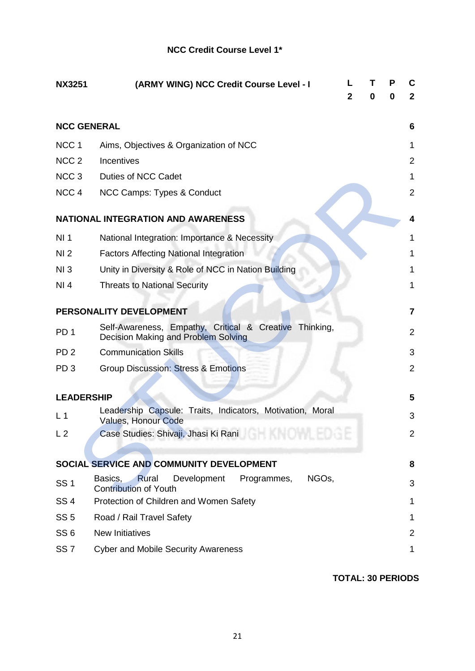# **NCC Credit Course Level 1\***

| <b>NX3251</b>      | (ARMY WING) NCC Credit Course Level - I                                                       | $\mathbf{2}$ | т<br>0 | P<br>0 | С<br>$\mathbf{2}$ |
|--------------------|-----------------------------------------------------------------------------------------------|--------------|--------|--------|-------------------|
| <b>NCC GENERAL</b> |                                                                                               |              |        |        | 6                 |
| NCC <sub>1</sub>   | Aims, Objectives & Organization of NCC                                                        |              |        |        | 1                 |
| NCC <sub>2</sub>   | Incentives                                                                                    |              |        |        | $\overline{2}$    |
| NCC <sub>3</sub>   | <b>Duties of NCC Cadet</b>                                                                    |              |        |        | 1                 |
| NCC <sub>4</sub>   | NCC Camps: Types & Conduct                                                                    |              |        |        | $\overline{2}$    |
|                    | <b>NATIONAL INTEGRATION AND AWARENESS</b>                                                     |              |        |        | 4                 |
| NI <sub>1</sub>    | National Integration: Importance & Necessity                                                  |              |        |        | 1                 |
| NI <sub>2</sub>    | <b>Factors Affecting National Integration</b>                                                 |              |        |        | 1                 |
| NI3                | Unity in Diversity & Role of NCC in Nation Building                                           |              |        |        | 1                 |
| NI 4               | <b>Threats to National Security</b>                                                           |              |        |        | 1                 |
|                    | PERSONALITY DEVELOPMENT                                                                       |              |        |        | 7                 |
| PD <sub>1</sub>    | Self-Awareness, Empathy, Critical & Creative Thinking,<br>Decision Making and Problem Solving |              |        |        | $\overline{2}$    |
| PD <sub>2</sub>    | <b>Communication Skills</b>                                                                   |              |        |        | 3                 |
| PD <sub>3</sub>    | <b>Group Discussion: Stress &amp; Emotions</b>                                                |              |        |        | $\overline{2}$    |
| <b>LEADERSHIP</b>  |                                                                                               |              |        |        | 5                 |
| L <sub>1</sub>     | Leadership Capsule: Traits, Indicators, Motivation, Moral<br><b>Values, Honour Code</b>       |              |        |        | 3                 |
| L <sub>2</sub>     | Case Studies: Shivaji, Jhasi Ki Rani <b>Case Studies: Shivaji, Jhasi Ki Rani</b>              |              |        |        | 2                 |
|                    | SOCIAL SERVICE AND COMMUNITY DEVELOPMENT                                                      |              |        |        | 8                 |
| <b>SS1</b>         | Development<br>NGOs,<br>Basics,<br>Rural<br>Programmes,<br><b>Contribution of Youth</b>       |              |        |        | 3                 |
| <b>SS4</b>         | Protection of Children and Women Safety                                                       |              |        |        | 1                 |
| <b>SS 5</b>        | Road / Rail Travel Safety                                                                     |              |        |        | 1                 |
| SS <sub>6</sub>    | <b>New Initiatives</b>                                                                        |              |        |        | $\overline{2}$    |
| SS <sub>7</sub>    | <b>Cyber and Mobile Security Awareness</b>                                                    |              |        |        | 1                 |

**TOTAL: 30 PERIODS**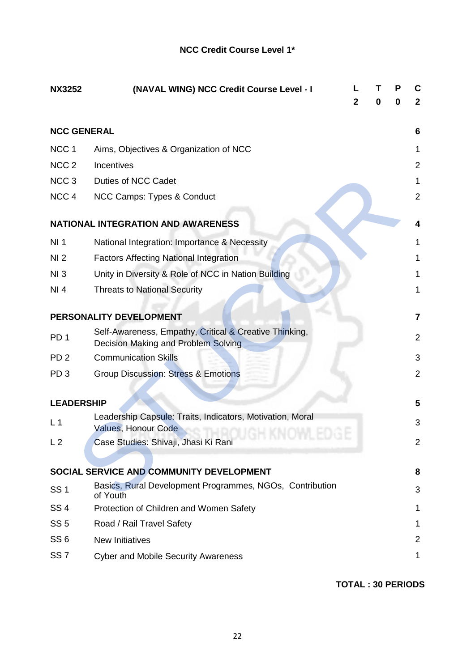# **NCC Credit Course Level 1\***

| <b>NX3252</b>      | (NAVAL WING) NCC Credit Course Level - I                                                      | L<br>2 | O | P<br>0 | C<br>$\mathbf{2}$       |
|--------------------|-----------------------------------------------------------------------------------------------|--------|---|--------|-------------------------|
| <b>NCC GENERAL</b> |                                                                                               |        |   |        | 6                       |
| NCC <sub>1</sub>   | Aims, Objectives & Organization of NCC                                                        |        |   |        | 1                       |
| NCC <sub>2</sub>   | Incentives                                                                                    |        |   |        | $\overline{2}$          |
| NCC <sub>3</sub>   | Duties of NCC Cadet                                                                           |        |   |        | 1                       |
| NCC <sub>4</sub>   | NCC Camps: Types & Conduct                                                                    |        |   |        | $\overline{2}$          |
|                    | <b>NATIONAL INTEGRATION AND AWARENESS</b>                                                     |        |   |        | 4                       |
| NI <sub>1</sub>    | National Integration: Importance & Necessity                                                  |        |   |        | 1                       |
| NI <sub>2</sub>    | <b>Factors Affecting National Integration</b>                                                 |        |   |        | 1                       |
| NI <sub>3</sub>    | Unity in Diversity & Role of NCC in Nation Building                                           |        |   |        | 1                       |
| NI 4               | <b>Threats to National Security</b>                                                           |        |   |        | 1                       |
|                    | PERSONALITY DEVELOPMENT                                                                       |        |   |        | 7                       |
| PD <sub>1</sub>    | Self-Awareness, Empathy, Critical & Creative Thinking,<br>Decision Making and Problem Solving |        |   |        | $\overline{2}$          |
| PD <sub>2</sub>    | <b>Communication Skills</b>                                                                   |        |   |        | 3                       |
| PD <sub>3</sub>    | <b>Group Discussion: Stress &amp; Emotions</b>                                                |        |   |        | $\overline{2}$          |
| <b>LEADERSHIP</b>  |                                                                                               |        |   |        | $\overline{\mathbf{5}}$ |
| L <sub>1</sub>     | Leadership Capsule: Traits, Indicators, Motivation, Moral<br><b>Values, Honour Code</b>       |        |   |        | 3                       |
| L <sub>2</sub>     | Case Studies: Shivaji, Jhasi Ki Rani                                                          |        |   |        | 2                       |
|                    | SOCIAL SERVICE AND COMMUNITY DEVELOPMENT                                                      |        |   |        | 8                       |
| <b>SS1</b>         | Basics, Rural Development Programmes, NGOs, Contribution<br>of Youth                          |        |   |        | 3                       |
| <b>SS4</b>         | Protection of Children and Women Safety                                                       |        |   |        | 1                       |
| <b>SS 5</b>        | Road / Rail Travel Safety                                                                     |        |   |        | 1                       |
| SS <sub>6</sub>    | <b>New Initiatives</b>                                                                        |        |   |        | 2                       |
| SS <sub>7</sub>    | <b>Cyber and Mobile Security Awareness</b>                                                    |        |   |        | 1                       |

**TOTAL : 30 PERIODS**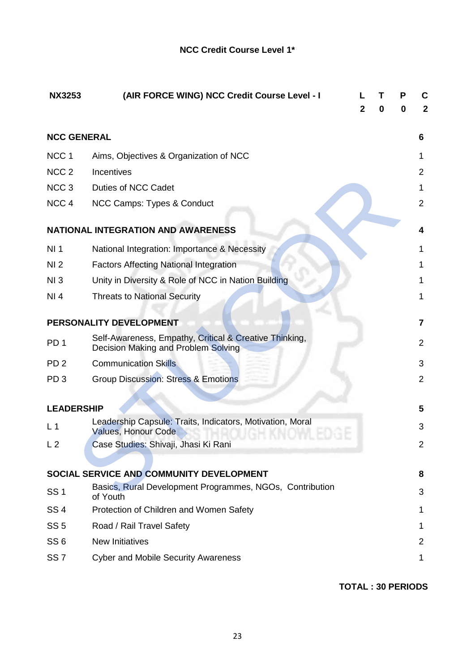| <b>NX3253</b>      | (AIR FORCE WING) NCC Credit Course Level - I                                                  | 2 | 0 | Р<br>0 |                |
|--------------------|-----------------------------------------------------------------------------------------------|---|---|--------|----------------|
| <b>NCC GENERAL</b> |                                                                                               |   |   |        | 6              |
| NCC <sub>1</sub>   | Aims, Objectives & Organization of NCC                                                        |   |   |        | 1              |
| NCC <sub>2</sub>   | Incentives                                                                                    |   |   |        | 2              |
| NCC <sub>3</sub>   | <b>Duties of NCC Cadet</b>                                                                    |   |   |        | 1              |
| NCC <sub>4</sub>   | NCC Camps: Types & Conduct                                                                    |   |   |        | $\overline{2}$ |
|                    | <b>NATIONAL INTEGRATION AND AWARENESS</b>                                                     |   |   |        | 4              |
| NI <sub>1</sub>    | National Integration: Importance & Necessity                                                  |   |   |        | 1              |
| NI <sub>2</sub>    | <b>Factors Affecting National Integration</b>                                                 |   |   |        | 1              |
| NI3                | Unity in Diversity & Role of NCC in Nation Building                                           |   |   |        | 1              |
| NI 4               | <b>Threats to National Security</b>                                                           |   |   |        | 1              |
|                    | PERSONALITY DEVELOPMENT                                                                       |   |   |        | 7              |
| PD <sub>1</sub>    | Self-Awareness, Empathy, Critical & Creative Thinking,<br>Decision Making and Problem Solving |   |   |        | 2              |
| PD <sub>2</sub>    | <b>Communication Skills</b>                                                                   |   |   |        | 3              |
| PD <sub>3</sub>    | <b>Group Discussion: Stress &amp; Emotions</b>                                                |   |   |        | 2              |
| <b>LEADERSHIP</b>  |                                                                                               |   |   |        | 5              |
|                    | Leadership Capsule: Traits, Indicators, Motivation, Moral                                     |   |   |        |                |
| L <sub>1</sub>     | <b>Values, Honour Code</b>                                                                    |   |   |        | 3              |
| L <sub>2</sub>     | Case Studies: Shivaji, Jhasi Ki Rani                                                          |   |   |        | 2              |
|                    | SOCIAL SERVICE AND COMMUNITY DEVELOPMENT                                                      |   |   |        | 8              |
| <b>SS1</b>         | Basics, Rural Development Programmes, NGOs, Contribution<br>of Youth                          |   |   |        | 3              |
| SS <sub>4</sub>    | Protection of Children and Women Safety                                                       |   |   |        | 1              |
| SS <sub>5</sub>    | Road / Rail Travel Safety                                                                     |   |   |        | 1              |
| SS <sub>6</sub>    | <b>New Initiatives</b>                                                                        |   |   |        | 2              |
| SS <sub>7</sub>    | <b>Cyber and Mobile Security Awareness</b>                                                    |   |   |        | 1              |

**TOTAL : 30 PERIODS**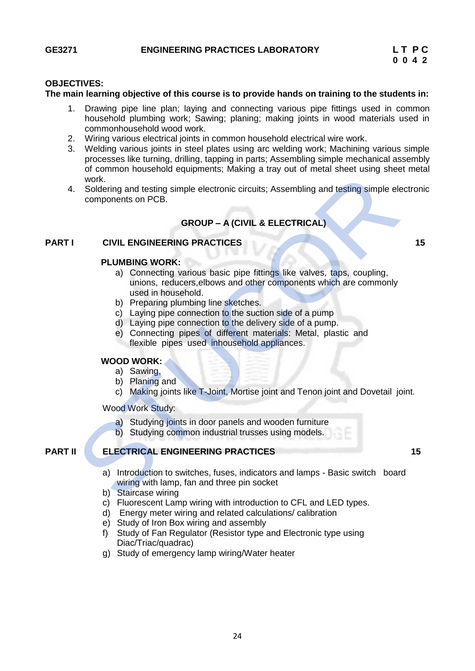# **OBJECTIVES:**

### **The main learning objective of this course is to provide hands on training to the students in:**

- 1. Drawing pipe line plan; laying and connecting various pipe fittings used in common household plumbing work; Sawing; planing; making joints in wood materials used in commonhousehold wood work.
- 2. Wiring various electrical joints in common household electrical wire work.
- 3. Welding various joints in steel plates using arc welding work; Machining various simple processes like turning, drilling, tapping in parts; Assembling simple mechanical assembly of common household equipments; Making a tray out of metal sheet using sheet metal work.
- 4. Soldering and testing simple electronic circuits; Assembling and testing simple electronic components on PCB.

# **GROUP – A (CIVIL & ELECTRICAL)**

# **PART I CIVIL ENGINEERING PRACTICES** 15

#### **PLUMBING WORK:**

- a) Connecting various basic pipe fittings like valves, taps, coupling, unions, reducers,elbows and other components which are commonly used in household. violation design simple electronic circuits; Assembling and testing simple electronic circuits; Assembling and testing simple electronic circuits; Assembling and testing simple electronic or PCB.<br> **GROUP – A (CIVIL & ELECT** 
	- b) Preparing plumbing line sketches.
	- c) Laying pipe connection to the suction side of a pump
	- d) Laying pipe connection to the delivery side of a pump.
	- e) Connecting pipes of different materials: Metal, plastic and flexible pipes used inhousehold appliances.

#### **WOOD WORK:**

- a) Sawing,
- b) Planing and
- c) Making joints like T-Joint, Mortise joint and Tenon joint and Dovetail joint.

Wood Work Study:

- a) Studying joints in door panels and wooden furniture
- b) Studying common industrial trusses using models.

# **PART II ELECTRICAL ENGINEERING PRACTICES 15**

- a) Introduction to switches, fuses, indicators and lamps Basic switch board wiring with lamp, fan and three pin socket
- b) Staircase wiring
- c) Fluorescent Lamp wiring with introduction to CFL and LED types.
- d) Energy meter wiring and related calculations/ calibration
- e) Study of Iron Box wiring and assembly
- f) Study of Fan Regulator (Resistor type and Electronic type using Diac/Triac/quadrac)
- g) Study of emergency lamp wiring/Water heater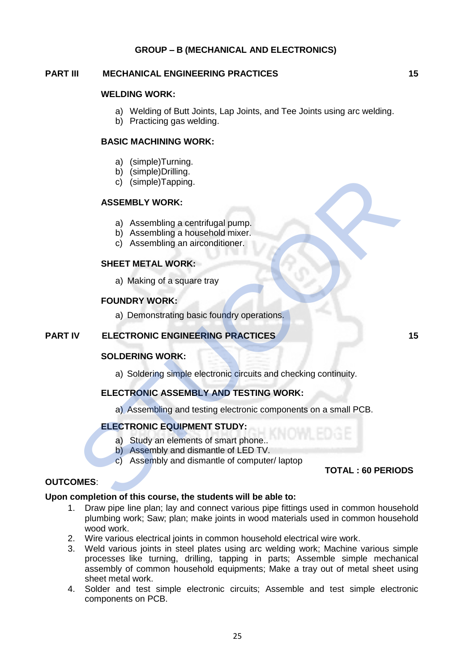# **GROUP – B (MECHANICAL AND ELECTRONICS)**

### **PART III MECHANICAL ENGINEERING PRACTICES 15**

# **WELDING WORK:**

- a) Welding of Butt Joints, Lap Joints, and Tee Joints using arc welding.
- b) Practicing gas welding.

### **BASIC MACHINING WORK:**

- a) (simple)Turning.
- b) (simple)Drilling.
- c) (simple)Tapping.

#### **ASSEMBLY WORK:**

- a) Assembling a centrifugal pump.
- b) Assembling a household mixer.
- c) Assembling an airconditioner.

### **SHEET METAL WORK:**

a) Making of a square tray

#### **FOUNDRY WORK:**

a) Demonstrating basic foundry operations.

# **PART IV ELECTRONIC ENGINEERING PRACTICES 15**

#### **SOLDERING WORK:**

a) Soldering simple electronic circuits and checking continuity.

# **ELECTRONIC ASSEMBLY AND TESTING WORK:**

a) Assembling and testing electronic components on a small PCB. o) (simple)Tapping.<br>
a) Assembling a centrifugal pump.<br>
b) Assembling an alternativity and mixer.<br>
c) Assembling an alternativity.<br>
SHEET METAL WORK:<br>
a) Making of a square tray<br>
FOUNDRY WORK:<br>
a) Demonstrating basic found

# **ELECTRONIC EQUIPMENT STUDY:**

- a) Study an elements of smart phone..
- b) Assembly and dismantle of LED TV.
- c) Assembly and dismantle of computer/ laptop

# **TOTAL : 60 PERIODS**

#### **OUTCOMES**:

# **Upon completion of this course, the students will be able to:**

- 1. Draw pipe line plan; lay and connect various pipe fittings used in common household plumbing work; Saw; plan; make joints in wood materials used in common household wood work.
- 2. Wire various electrical joints in common household electrical wire work.
- 3. Weld various joints in steel plates using arc welding work; Machine various simple processes like turning, drilling, tapping in parts; Assemble simple mechanical assembly of common household equipments; Make a tray out of metal sheet using sheet metal work.
- 4. Solder and test simple electronic circuits; Assemble and test simple electronic components on PCB.